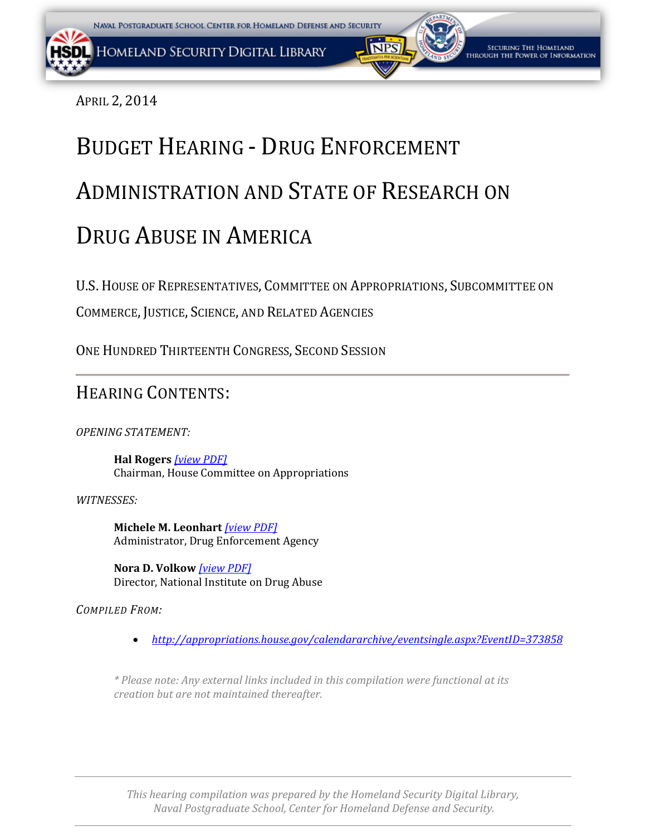<span id="page-0-0"></span>APRIL 2, 2014

# BUDGET HEARING - DRUG ENFORCEMENT ADMINISTRATION AND STATE OF RESEARCH ON DRUG ABUSE IN AMERICA

U.S. HOUSE OF REPRESENTATIVES, COMMITTEE ON APPROPRIATIONS, SUBCOMMITTEE ON

COMMERCE, JUSTICE, SCIENCE, AND RELATED AGENCIES

ONE HUNDRED THIRTEENTH CONGRESS, SECOND SESSION

### HEARING CONTENTS:

*OPENING STATEMENT:* 

**Hal Rogers** *[\[view PDF](#page-1-0)[\]](#page-0-0)* Chairman, House Committee on Appropriations

*WITNESSES:* 

**Michele M. Leonhart** *[\[view PDF\]](#page-0-0)* Administrator, Drug Enforcement Agency

**Nora D. Volkow** *[\[view PDF\]](#page-0-0)* Director, National Institute on Drug Abuse

*COMPILED FROM:*

• *http://appropriations.house.gov/calendararchive/eventsingle.aspx?EventID=373858*

*\* Please note: Any external links included in this compilation were functional at its creation but are not maintained thereafter.*

*This hearing compilation was prepared by the Homeland Security Digital Library, Naval Postgraduate School, Center for Homeland Defense and Security.*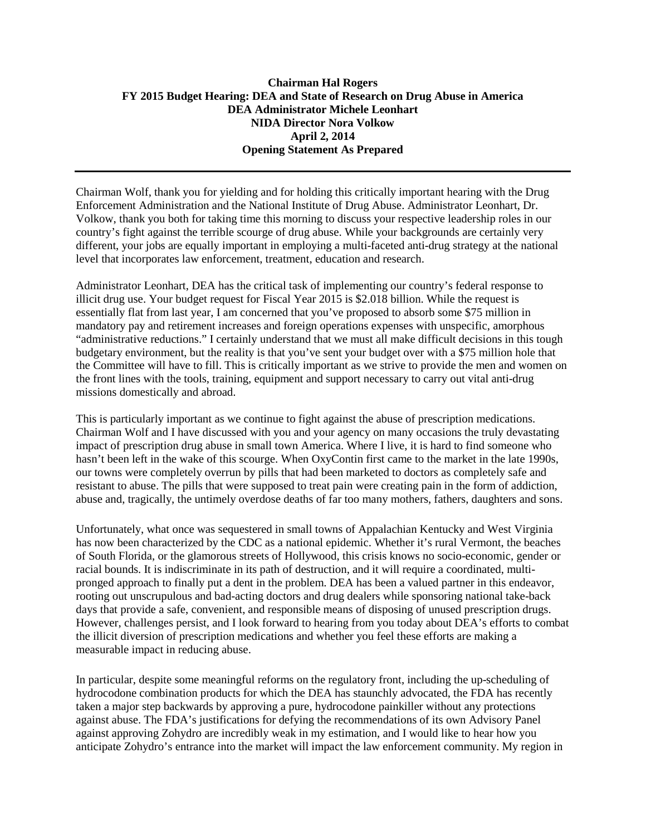#### <span id="page-1-0"></span>**Chairman Hal Rogers FY 2015 Budget Hearing: DEA and State of Research on Drug Abuse in America DEA Administrator Michele Leonhart NIDA Director Nora Volkow April 2, 2014 Opening Statement As Prepared**

Chairman Wolf, thank you for yielding and for holding this critically important hearing with the Drug Enforcement Administration and the National Institute of Drug Abuse. Administrator Leonhart, Dr. Volkow, thank you both for taking time this morning to discuss your respective leadership roles in our country's fight against the terrible scourge of drug abuse. While your backgrounds are certainly very different, your jobs are equally important in employing a multi-faceted anti-drug strategy at the national level that incorporates law enforcement, treatment, education and research.

Administrator Leonhart, DEA has the critical task of implementing our country's federal response to illicit drug use. Your budget request for Fiscal Year 2015 is \$2.018 billion. While the request is essentially flat from last year, I am concerned that you've proposed to absorb some \$75 million in mandatory pay and retirement increases and foreign operations expenses with unspecific, amorphous "administrative reductions." I certainly understand that we must all make difficult decisions in this tough budgetary environment, but the reality is that you've sent your budget over with a \$75 million hole that the Committee will have to fill. This is critically important as we strive to provide the men and women on the front lines with the tools, training, equipment and support necessary to carry out vital anti-drug missions domestically and abroad.

This is particularly important as we continue to fight against the abuse of prescription medications. Chairman Wolf and I have discussed with you and your agency on many occasions the truly devastating impact of prescription drug abuse in small town America. Where I live, it is hard to find someone who hasn't been left in the wake of this scourge. When OxyContin first came to the market in the late 1990s, our towns were completely overrun by pills that had been marketed to doctors as completely safe and resistant to abuse. The pills that were supposed to treat pain were creating pain in the form of addiction, abuse and, tragically, the untimely overdose deaths of far too many mothers, fathers, daughters and sons.

Unfortunately, what once was sequestered in small towns of Appalachian Kentucky and West Virginia has now been characterized by the CDC as a national epidemic. Whether it's rural Vermont, the beaches of South Florida, or the glamorous streets of Hollywood, this crisis knows no socio-economic, gender or racial bounds. It is indiscriminate in its path of destruction, and it will require a coordinated, multipronged approach to finally put a dent in the problem. DEA has been a valued partner in this endeavor, rooting out unscrupulous and bad-acting doctors and drug dealers while sponsoring national take-back days that provide a safe, convenient, and responsible means of disposing of unused prescription drugs. However, challenges persist, and I look forward to hearing from you today about DEA's efforts to combat the illicit diversion of prescription medications and whether you feel these efforts are making a measurable impact in reducing abuse.

In particular, despite some meaningful reforms on the regulatory front, including the up-scheduling of hydrocodone combination products for which the DEA has staunchly advocated, the FDA has recently taken a major step backwards by approving a pure, hydrocodone painkiller without any protections against abuse. The FDA's justifications for defying the recommendations of its own Advisory Panel against approving Zohydro are incredibly weak in my estimation, and I would like to hear how you anticipate Zohydro's entrance into the market will impact the law enforcement community. My region in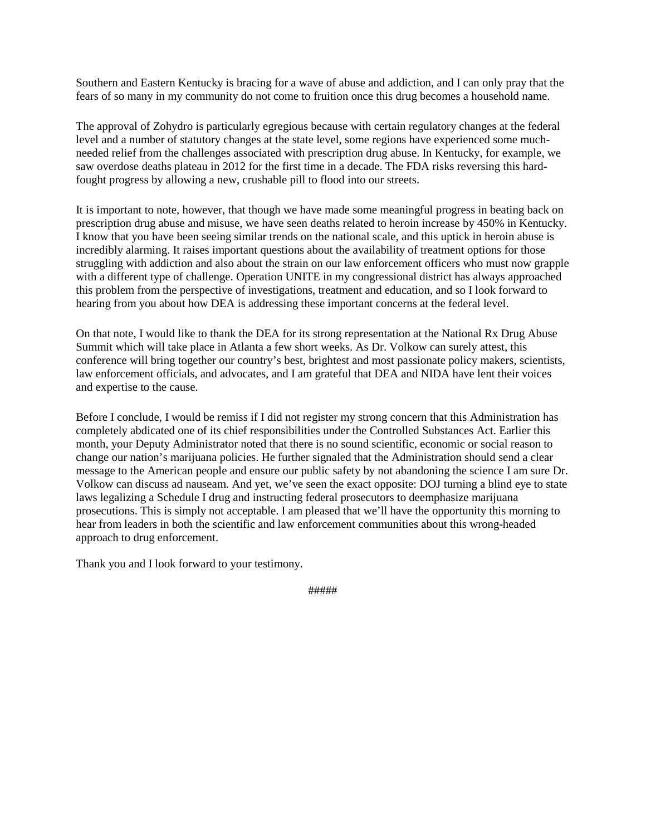Southern and Eastern Kentucky is bracing for a wave of abuse and addiction, and I can only pray that the fears of so many in my community do not come to fruition once this drug becomes a household name.

The approval of Zohydro is particularly egregious because with certain regulatory changes at the federal level and a number of statutory changes at the state level, some regions have experienced some muchneeded relief from the challenges associated with prescription drug abuse. In Kentucky, for example, we saw overdose deaths plateau in 2012 for the first time in a decade. The FDA risks reversing this hardfought progress by allowing a new, crushable pill to flood into our streets.

It is important to note, however, that though we have made some meaningful progress in beating back on prescription drug abuse and misuse, we have seen deaths related to heroin increase by 450% in Kentucky. I know that you have been seeing similar trends on the national scale, and this uptick in heroin abuse is incredibly alarming. It raises important questions about the availability of treatment options for those struggling with addiction and also about the strain on our law enforcement officers who must now grapple with a different type of challenge. Operation UNITE in my congressional district has always approached this problem from the perspective of investigations, treatment and education, and so I look forward to hearing from you about how DEA is addressing these important concerns at the federal level.

On that note, I would like to thank the DEA for its strong representation at the National Rx Drug Abuse Summit which will take place in Atlanta a few short weeks. As Dr. Volkow can surely attest, this conference will bring together our country's best, brightest and most passionate policy makers, scientists, law enforcement officials, and advocates, and I am grateful that DEA and NIDA have lent their voices and expertise to the cause.

Before I conclude, I would be remiss if I did not register my strong concern that this Administration has completely abdicated one of its chief responsibilities under the Controlled Substances Act. Earlier this month, your Deputy Administrator noted that there is no sound scientific, economic or social reason to change our nation's marijuana policies. He further signaled that the Administration should send a clear message to the American people and ensure our public safety by not abandoning the science I am sure Dr. Volkow can discuss ad nauseam. And yet, we've seen the exact opposite: DOJ turning a blind eye to state laws legalizing a Schedule I drug and instructing federal prosecutors to deemphasize marijuana prosecutions. This is simply not acceptable. I am pleased that we'll have the opportunity this morning to hear from leaders in both the scientific and law enforcement communities about this wrong-headed approach to drug enforcement.

Thank you and I look forward to your testimony.

#####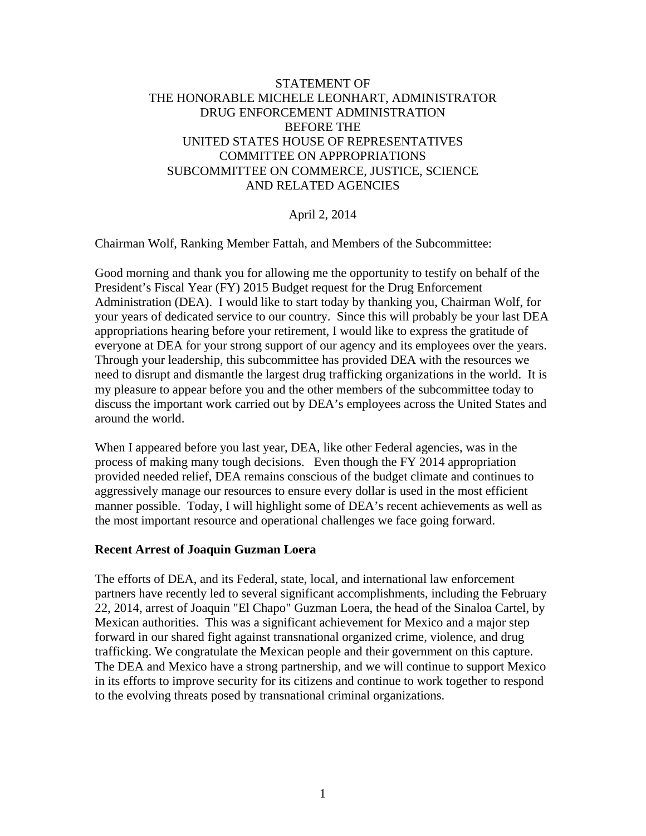#### <span id="page-3-0"></span>STATEMENT OF THE HONORABLE MICHELE LEONHART, ADMINISTRATOR DRUG ENFORCEMENT ADMINISTRATION BEFORE THE UNITED STATES HOUSE OF REPRESENTATIVES COMMITTEE ON APPROPRIATIONS SUBCOMMITTEE ON COMMERCE, JUSTICE, SCIENCE AND RELATED AGENCIES

#### April 2, 2014

Chairman Wolf, Ranking Member Fattah, and Members of the Subcommittee:

Good morning and thank you for allowing me the opportunity to testify on behalf of the President's Fiscal Year (FY) 2015 Budget request for the Drug Enforcement Administration (DEA). I would like to start today by thanking you, Chairman Wolf, for your years of dedicated service to our country. Since this will probably be your last DEA appropriations hearing before your retirement, I would like to express the gratitude of everyone at DEA for your strong support of our agency and its employees over the years. Through your leadership, this subcommittee has provided DEA with the resources we need to disrupt and dismantle the largest drug trafficking organizations in the world. It is my pleasure to appear before you and the other members of the subcommittee today to discuss the important work carried out by DEA's employees across the United States and around the world.

When I appeared before you last year, DEA, like other Federal agencies, was in the process of making many tough decisions. Even though the FY 2014 appropriation provided needed relief, DEA remains conscious of the budget climate and continues to aggressively manage our resources to ensure every dollar is used in the most efficient manner possible. Today, I will highlight some of DEA's recent achievements as well as the most important resource and operational challenges we face going forward.

#### **Recent Arrest of Joaquin Guzman Loera**

The efforts of DEA, and its Federal, state, local, and international law enforcement partners have recently led to several significant accomplishments, including the February 22, 2014, arrest of Joaquin "El Chapo" Guzman Loera, the head of the Sinaloa Cartel, by Mexican authorities. This was a significant achievement for Mexico and a major step forward in our shared fight against transnational organized crime, violence, and drug trafficking. We congratulate the Mexican people and their government on this capture. The DEA and Mexico have a strong partnership, and we will continue to support Mexico in its efforts to improve security for its citizens and continue to work together to respond to the evolving threats posed by transnational criminal organizations.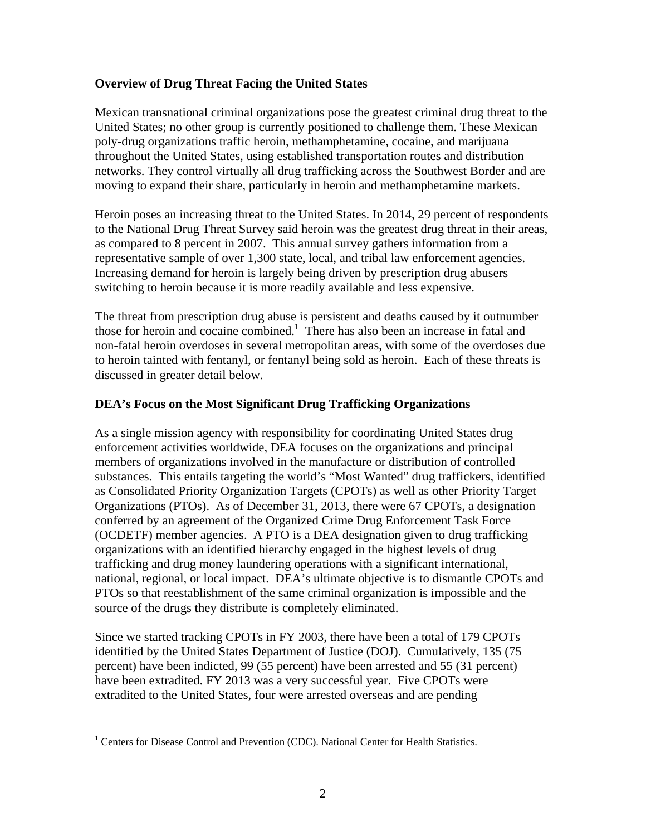#### **Overview of Drug Threat Facing the United States**

Mexican transnational criminal organizations pose the greatest criminal drug threat to the United States; no other group is currently positioned to challenge them. These Mexican poly-drug organizations traffic heroin, methamphetamine, cocaine, and marijuana throughout the United States, using established transportation routes and distribution networks. They control virtually all drug trafficking across the Southwest Border and are moving to expand their share, particularly in heroin and methamphetamine markets.

Heroin poses an increasing threat to the United States. In 2014, 29 percent of respondents to the National Drug Threat Survey said heroin was the greatest drug threat in their areas, as compared to 8 percent in 2007. This annual survey gathers information from a representative sample of over 1,300 state, local, and tribal law enforcement agencies. Increasing demand for heroin is largely being driven by prescription drug abusers switching to heroin because it is more readily available and less expensive.

The threat from prescription drug abuse is persistent and deaths caused by it outnumber those for heroin and cocaine combined.<sup>1</sup> There has also been an increase in fatal and non-fatal heroin overdoses in several metropolitan areas, with some of the overdoses due to heroin tainted with fentanyl, or fentanyl being sold as heroin. Each of these threats is discussed in greater detail below.

#### **DEA's Focus on the Most Significant Drug Trafficking Organizations**

As a single mission agency with responsibility for coordinating United States drug enforcement activities worldwide, DEA focuses on the organizations and principal members of organizations involved in the manufacture or distribution of controlled substances. This entails targeting the world's "Most Wanted" drug traffickers, identified as Consolidated Priority Organization Targets (CPOTs) as well as other Priority Target Organizations (PTOs). As of December 31, 2013, there were 67 CPOTs, a designation conferred by an agreement of the Organized Crime Drug Enforcement Task Force (OCDETF) member agencies. A PTO is a DEA designation given to drug trafficking organizations with an identified hierarchy engaged in the highest levels of drug trafficking and drug money laundering operations with a significant international, national, regional, or local impact. DEA's ultimate objective is to dismantle CPOTs and PTOs so that reestablishment of the same criminal organization is impossible and the source of the drugs they distribute is completely eliminated.

Since we started tracking CPOTs in FY 2003, there have been a total of 179 CPOTs identified by the United States Department of Justice (DOJ). Cumulatively, 135 (75 percent) have been indicted, 99 (55 percent) have been arrested and 55 (31 percent) have been extradited. FY 2013 was a very successful year. Five CPOTs were extradited to the United States, four were arrested overseas and are pending

<sup>&</sup>lt;sup>1</sup> Centers for Disease Control and Prevention (CDC). National Center for Health Statistics.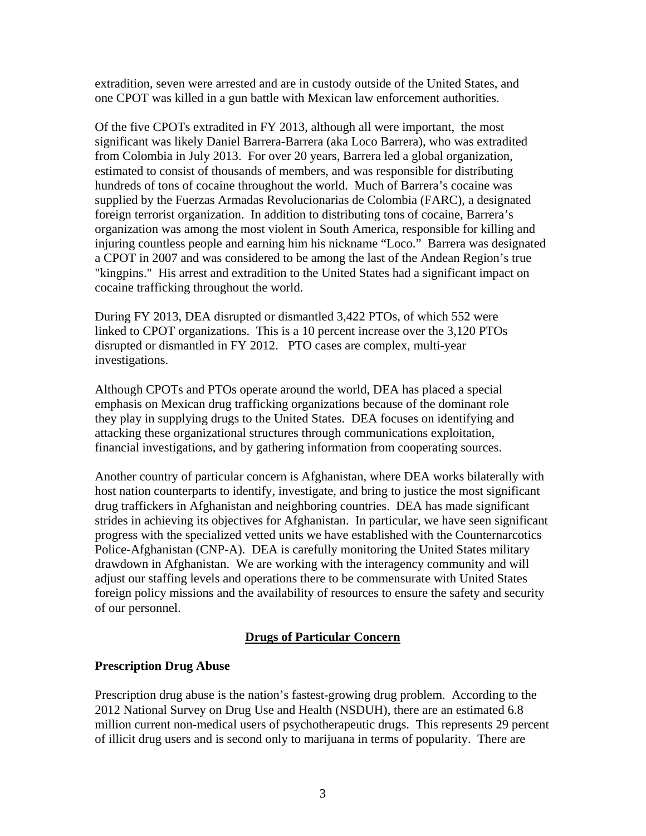extradition, seven were arrested and are in custody outside of the United States, and one CPOT was killed in a gun battle with Mexican law enforcement authorities.

Of the five CPOTs extradited in FY 2013, although all were important, the most significant was likely Daniel Barrera-Barrera (aka Loco Barrera), who was extradited from Colombia in July 2013. For over 20 years, Barrera led a global organization, estimated to consist of thousands of members, and was responsible for distributing hundreds of tons of cocaine throughout the world. Much of Barrera's cocaine was supplied by the Fuerzas Armadas Revolucionarias de Colombia (FARC), a designated foreign terrorist organization. In addition to distributing tons of cocaine, Barrera's organization was among the most violent in South America, responsible for killing and injuring countless people and earning him his nickname "Loco." Barrera was designated a CPOT in 2007 and was considered to be among the last of the Andean Region's true "kingpins." His arrest and extradition to the United States had a significant impact on cocaine trafficking throughout the world.

During FY 2013, DEA disrupted or dismantled 3,422 PTOs, of which 552 were linked to CPOT organizations. This is a 10 percent increase over the 3,120 PTOs disrupted or dismantled in FY 2012. PTO cases are complex, multi-year investigations.

Although CPOTs and PTOs operate around the world, DEA has placed a special emphasis on Mexican drug trafficking organizations because of the dominant role they play in supplying drugs to the United States. DEA focuses on identifying and attacking these organizational structures through communications exploitation, financial investigations, and by gathering information from cooperating sources.

Another country of particular concern is Afghanistan, where DEA works bilaterally with host nation counterparts to identify, investigate, and bring to justice the most significant drug traffickers in Afghanistan and neighboring countries. DEA has made significant strides in achieving its objectives for Afghanistan. In particular, we have seen significant progress with the specialized vetted units we have established with the Counternarcotics Police-Afghanistan (CNP-A). DEA is carefully monitoring the United States military drawdown in Afghanistan. We are working with the interagency community and will adjust our staffing levels and operations there to be commensurate with United States foreign policy missions and the availability of resources to ensure the safety and security of our personnel.

#### **Drugs of Particular Concern**

#### **Prescription Drug Abuse**

Prescription drug abuse is the nation's fastest-growing drug problem. According to the 2012 National Survey on Drug Use and Health (NSDUH), there are an estimated 6.8 million current non-medical users of psychotherapeutic drugs. This represents 29 percent of illicit drug users and is second only to marijuana in terms of popularity. There are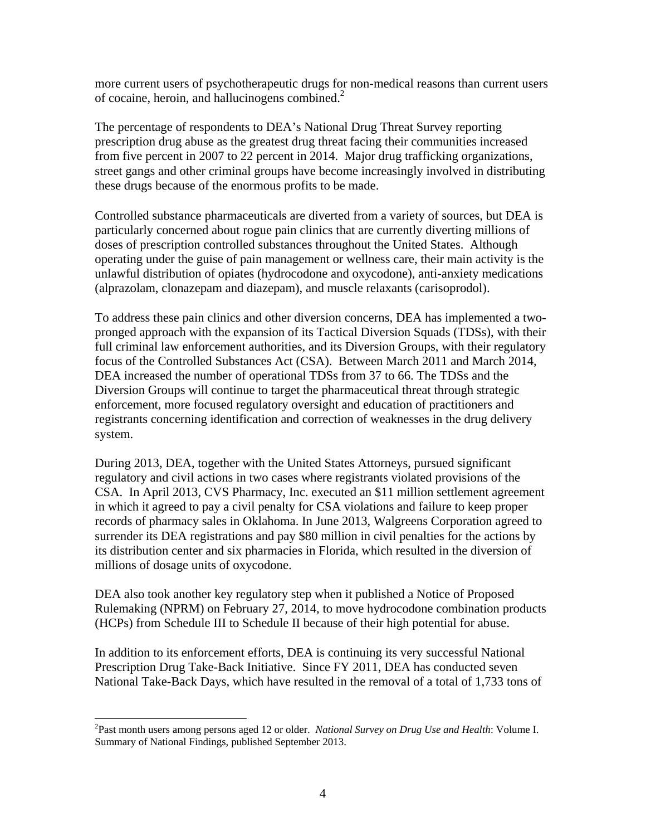more current users of psychotherapeutic drugs for non-medical reasons than current users of cocaine, heroin, and hallucinogens combined.<sup>2</sup>

The percentage of respondents to DEA's National Drug Threat Survey reporting prescription drug abuse as the greatest drug threat facing their communities increased from five percent in 2007 to 22 percent in 2014. Major drug trafficking organizations, street gangs and other criminal groups have become increasingly involved in distributing these drugs because of the enormous profits to be made.

Controlled substance pharmaceuticals are diverted from a variety of sources, but DEA is particularly concerned about rogue pain clinics that are currently diverting millions of doses of prescription controlled substances throughout the United States. Although operating under the guise of pain management or wellness care, their main activity is the unlawful distribution of opiates (hydrocodone and oxycodone), anti-anxiety medications (alprazolam, clonazepam and diazepam), and muscle relaxants (carisoprodol).

To address these pain clinics and other diversion concerns, DEA has implemented a twopronged approach with the expansion of its Tactical Diversion Squads (TDSs), with their full criminal law enforcement authorities, and its Diversion Groups, with their regulatory focus of the Controlled Substances Act (CSA). Between March 2011 and March 2014, DEA increased the number of operational TDSs from 37 to 66. The TDSs and the Diversion Groups will continue to target the pharmaceutical threat through strategic enforcement, more focused regulatory oversight and education of practitioners and registrants concerning identification and correction of weaknesses in the drug delivery system.

During 2013, DEA, together with the United States Attorneys, pursued significant regulatory and civil actions in two cases where registrants violated provisions of the CSA. In April 2013, CVS Pharmacy, Inc. executed an \$11 million settlement agreement in which it agreed to pay a civil penalty for CSA violations and failure to keep proper records of pharmacy sales in Oklahoma. In June 2013, Walgreens Corporation agreed to surrender its DEA registrations and pay \$80 million in civil penalties for the actions by its distribution center and six pharmacies in Florida, which resulted in the diversion of millions of dosage units of oxycodone.

DEA also took another key regulatory step when it published a Notice of Proposed Rulemaking (NPRM) on February 27, 2014, to move hydrocodone combination products (HCPs) from Schedule III to Schedule II because of their high potential for abuse.

In addition to its enforcement efforts, DEA is continuing its very successful National Prescription Drug Take-Back Initiative. Since FY 2011, DEA has conducted seven National Take-Back Days, which have resulted in the removal of a total of 1,733 tons of

 $\overline{a}$ 

<sup>2</sup> Past month users among persons aged 12 or older. *National Survey on Drug Use and Health*: Volume I. Summary of National Findings, published September 2013.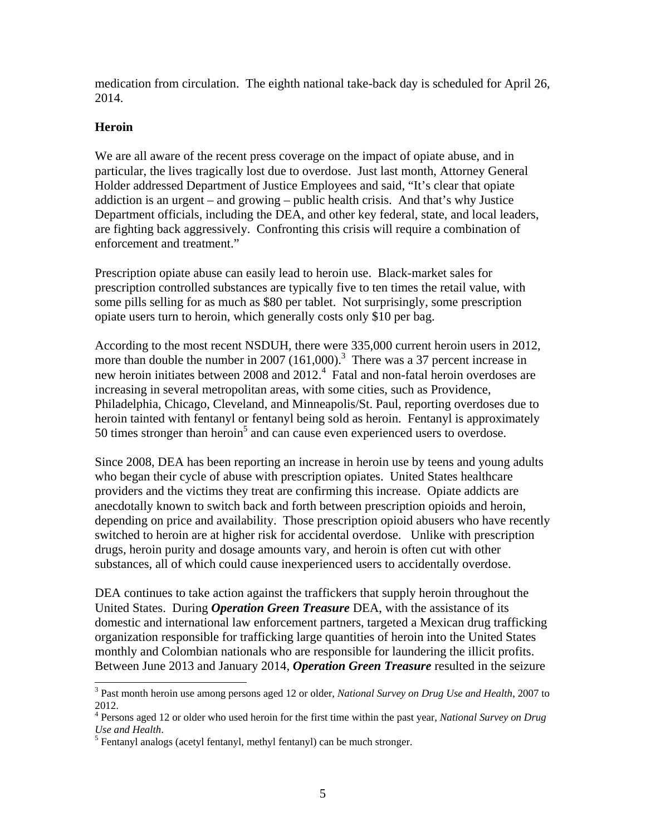medication from circulation. The eighth national take-back day is scheduled for April 26, 2014.

#### **Heroin**

We are all aware of the recent press coverage on the impact of opiate abuse, and in particular, the lives tragically lost due to overdose. Just last month, Attorney General Holder addressed Department of Justice Employees and said, "It's clear that opiate addiction is an urgent – and growing – public health crisis. And that's why Justice Department officials, including the DEA, and other key federal, state, and local leaders, are fighting back aggressively. Confronting this crisis will require a combination of enforcement and treatment."

Prescription opiate abuse can easily lead to heroin use. Black-market sales for prescription controlled substances are typically five to ten times the retail value, with some pills selling for as much as \$80 per tablet. Not surprisingly, some prescription opiate users turn to heroin, which generally costs only \$10 per bag.

According to the most recent NSDUH, there were 335,000 current heroin users in 2012, more than double the number in 2007  $(161,000)$ .<sup>3</sup> There was a 37 percent increase in new heroin initiates between 2008 and 2012.<sup>4</sup> Fatal and non-fatal heroin overdoses are increasing in several metropolitan areas, with some cities, such as Providence, Philadelphia, Chicago, Cleveland, and Minneapolis/St. Paul, reporting overdoses due to heroin tainted with fentanyl or fentanyl being sold as heroin. Fentanyl is approximately 50 times stronger than heroin<sup>5</sup> and can cause even experienced users to overdose.

Since 2008, DEA has been reporting an increase in heroin use by teens and young adults who began their cycle of abuse with prescription opiates. United States healthcare providers and the victims they treat are confirming this increase. Opiate addicts are anecdotally known to switch back and forth between prescription opioids and heroin, depending on price and availability. Those prescription opioid abusers who have recently switched to heroin are at higher risk for accidental overdose. Unlike with prescription drugs, heroin purity and dosage amounts vary, and heroin is often cut with other substances, all of which could cause inexperienced users to accidentally overdose.

DEA continues to take action against the traffickers that supply heroin throughout the United States. During *Operation Green Treasure* DEA, with the assistance of its domestic and international law enforcement partners, targeted a Mexican drug trafficking organization responsible for trafficking large quantities of heroin into the United States monthly and Colombian nationals who are responsible for laundering the illicit profits. Between June 2013 and January 2014, *Operation Green Treasure* resulted in the seizure

 3 Past month heroin use among persons aged 12 or older, *National Survey on Drug Use and Health*, 2007 to 2012.

<sup>4</sup> Persons aged 12 or older who used heroin for the first time within the past year, *National Survey on Drug*  Use and Health.

 $<sup>5</sup>$  Fentanyl analogs (acetyl fentanyl, methyl fentanyl) can be much stronger.</sup>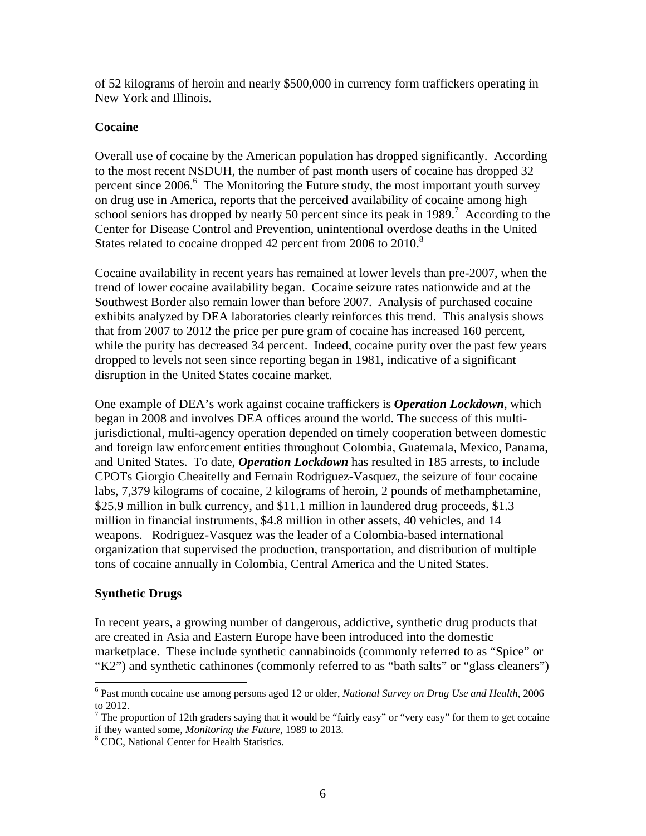of 52 kilograms of heroin and nearly \$500,000 in currency form traffickers operating in New York and Illinois.

#### **Cocaine**

Overall use of cocaine by the American population has dropped significantly. According to the most recent NSDUH, the number of past month users of cocaine has dropped 32 percent since 2006.<sup>6</sup> The Monitoring the Future study, the most important youth survey on drug use in America, reports that the perceived availability of cocaine among high school seniors has dropped by nearly 50 percent since its peak in 1989.<sup>7</sup> According to the Center for Disease Control and Prevention, unintentional overdose deaths in the United States related to cocaine dropped 42 percent from 2006 to 2010.<sup>8</sup>

Cocaine availability in recent years has remained at lower levels than pre-2007, when the trend of lower cocaine availability began. Cocaine seizure rates nationwide and at the Southwest Border also remain lower than before 2007. Analysis of purchased cocaine exhibits analyzed by DEA laboratories clearly reinforces this trend. This analysis shows that from 2007 to 2012 the price per pure gram of cocaine has increased 160 percent, while the purity has decreased 34 percent. Indeed, cocaine purity over the past few years dropped to levels not seen since reporting began in 1981, indicative of a significant disruption in the United States cocaine market.

One example of DEA's work against cocaine traffickers is *Operation Lockdown*, which began in 2008 and involves DEA offices around the world. The success of this multijurisdictional, multi-agency operation depended on timely cooperation between domestic and foreign law enforcement entities throughout Colombia, Guatemala, Mexico, Panama, and United States. To date, *Operation Lockdown* has resulted in 185 arrests, to include CPOTs Giorgio Cheaitelly and Fernain Rodriguez-Vasquez, the seizure of four cocaine labs, 7,379 kilograms of cocaine, 2 kilograms of heroin, 2 pounds of methamphetamine, \$25.9 million in bulk currency, and \$11.1 million in laundered drug proceeds, \$1.3 million in financial instruments, \$4.8 million in other assets, 40 vehicles, and 14 weapons. Rodriguez-Vasquez was the leader of a Colombia-based international organization that supervised the production, transportation, and distribution of multiple tons of cocaine annually in Colombia, Central America and the United States.

#### **Synthetic Drugs**

In recent years, a growing number of dangerous, addictive, synthetic drug products that are created in Asia and Eastern Europe have been introduced into the domestic marketplace. These include synthetic cannabinoids (commonly referred to as "Spice" or "K2") and synthetic cathinones (commonly referred to as "bath salts" or "glass cleaners")

 6 Past month cocaine use among persons aged 12 or older, *National Survey on Drug Use and Health*, 2006 to 2012.

<sup>&</sup>lt;sup>7</sup> The proportion of 12th graders saying that it would be "fairly easy" or "very easy" for them to get cocaine if they wanted some, *Monitoring the Future*, 1989 to 2013.

<sup>&</sup>lt;sup>8</sup> CDC, National Center for Health Statistics.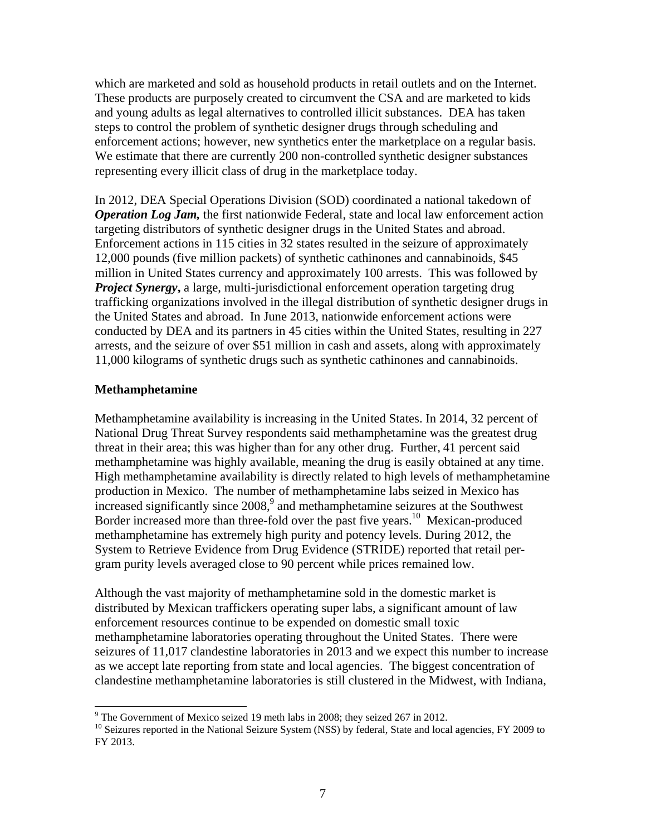which are marketed and sold as household products in retail outlets and on the Internet. These products are purposely created to circumvent the CSA and are marketed to kids and young adults as legal alternatives to controlled illicit substances. DEA has taken steps to control the problem of synthetic designer drugs through scheduling and enforcement actions; however, new synthetics enter the marketplace on a regular basis. We estimate that there are currently 200 non-controlled synthetic designer substances representing every illicit class of drug in the marketplace today.

In 2012, DEA Special Operations Division (SOD) coordinated a national takedown of *Operation Log Jam,* the first nationwide Federal, state and local law enforcement action targeting distributors of synthetic designer drugs in the United States and abroad. Enforcement actions in 115 cities in 32 states resulted in the seizure of approximately 12,000 pounds (five million packets) of synthetic cathinones and cannabinoids, \$45 million in United States currency and approximately 100 arrests. This was followed by *Project Synergy*, a large, multi-jurisdictional enforcement operation targeting drug trafficking organizations involved in the illegal distribution of synthetic designer drugs in the United States and abroad. In June 2013, nationwide enforcement actions were conducted by DEA and its partners in 45 cities within the United States, resulting in 227 arrests, and the seizure of over \$51 million in cash and assets, along with approximately 11,000 kilograms of synthetic drugs such as synthetic cathinones and cannabinoids.

#### **Methamphetamine**

Methamphetamine availability is increasing in the United States. In 2014, 32 percent of National Drug Threat Survey respondents said methamphetamine was the greatest drug threat in their area; this was higher than for any other drug. Further, 41 percent said methamphetamine was highly available, meaning the drug is easily obtained at any time. High methamphetamine availability is directly related to high levels of methamphetamine production in Mexico. The number of methamphetamine labs seized in Mexico has increased significantly since  $2008$ , and methamphetamine seizures at the Southwest Border increased more than three-fold over the past five years.<sup>10</sup> Mexican-produced methamphetamine has extremely high purity and potency levels. During 2012, the System to Retrieve Evidence from Drug Evidence (STRIDE) reported that retail pergram purity levels averaged close to 90 percent while prices remained low.

Although the vast majority of methamphetamine sold in the domestic market is distributed by Mexican traffickers operating super labs, a significant amount of law enforcement resources continue to be expended on domestic small toxic methamphetamine laboratories operating throughout the United States. There were seizures of 11,017 clandestine laboratories in 2013 and we expect this number to increase as we accept late reporting from state and local agencies. The biggest concentration of clandestine methamphetamine laboratories is still clustered in the Midwest, with Indiana,

<sup>&</sup>lt;sup>9</sup> The Government of Mexico seized 19 meth labs in 2008; they seized 267 in 2012.

<sup>&</sup>lt;sup>10</sup> Seizures reported in the National Seizure System (NSS) by federal, State and local agencies, FY 2009 to FY 2013.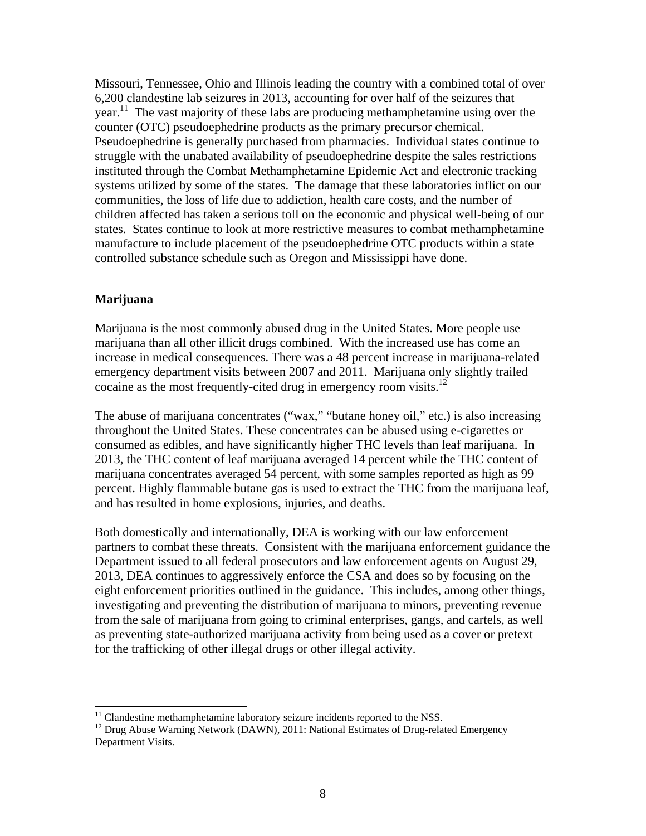Missouri, Tennessee, Ohio and Illinois leading the country with a combined total of over 6,200 clandestine lab seizures in 2013, accounting for over half of the seizures that year.<sup>11</sup> The vast majority of these labs are producing methamphetamine using over the counter (OTC) pseudoephedrine products as the primary precursor chemical. Pseudoephedrine is generally purchased from pharmacies. Individual states continue to struggle with the unabated availability of pseudoephedrine despite the sales restrictions instituted through the Combat Methamphetamine Epidemic Act and electronic tracking systems utilized by some of the states. The damage that these laboratories inflict on our communities, the loss of life due to addiction, health care costs, and the number of children affected has taken a serious toll on the economic and physical well-being of our states. States continue to look at more restrictive measures to combat methamphetamine manufacture to include placement of the pseudoephedrine OTC products within a state controlled substance schedule such as Oregon and Mississippi have done.

#### **Marijuana**

 $\overline{a}$ 

Marijuana is the most commonly abused drug in the United States. More people use marijuana than all other illicit drugs combined. With the increased use has come an increase in medical consequences. There was a 48 percent increase in marijuana-related emergency department visits between 2007 and 2011. Marijuana only slightly trailed cocaine as the most frequently-cited drug in emergency room visits.<sup>12</sup>

The abuse of marijuana concentrates ("wax," "butane honey oil," etc.) is also increasing throughout the United States. These concentrates can be abused using e-cigarettes or consumed as edibles, and have significantly higher THC levels than leaf marijuana. In 2013, the THC content of leaf marijuana averaged 14 percent while the THC content of marijuana concentrates averaged 54 percent, with some samples reported as high as 99 percent. Highly flammable butane gas is used to extract the THC from the marijuana leaf, and has resulted in home explosions, injuries, and deaths.

Both domestically and internationally, DEA is working with our law enforcement partners to combat these threats. Consistent with the marijuana enforcement guidance the Department issued to all federal prosecutors and law enforcement agents on August 29, 2013, DEA continues to aggressively enforce the CSA and does so by focusing on the eight enforcement priorities outlined in the guidance. This includes, among other things, investigating and preventing the distribution of marijuana to minors, preventing revenue from the sale of marijuana from going to criminal enterprises, gangs, and cartels, as well as preventing state-authorized marijuana activity from being used as a cover or pretext for the trafficking of other illegal drugs or other illegal activity.

 $11$  Clandestine methamphetamine laboratory seizure incidents reported to the NSS.

<sup>&</sup>lt;sup>12</sup> Drug Abuse Warning Network (DAWN), 2011: National Estimates of Drug-related Emergency Department Visits.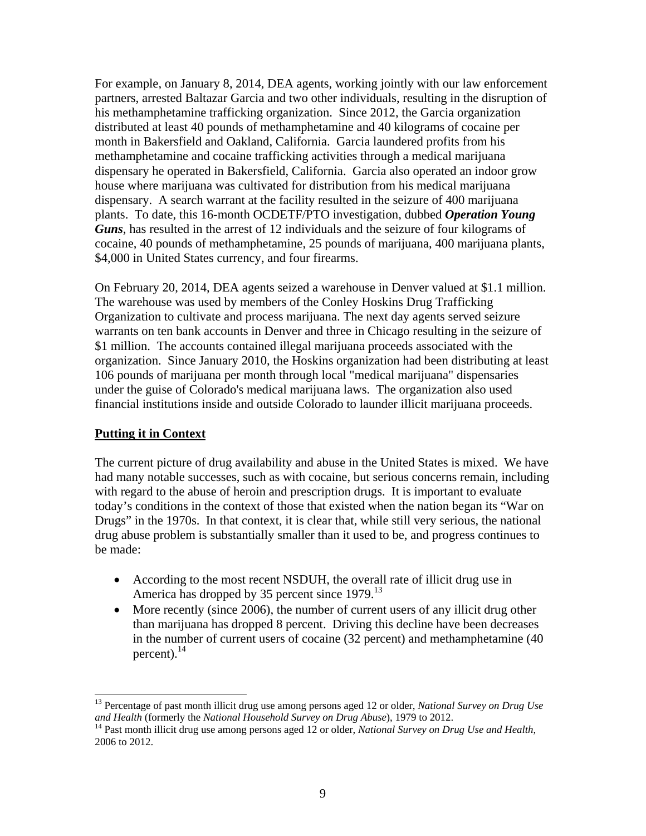For example, on January 8, 2014, DEA agents, working jointly with our law enforcement partners, arrested Baltazar Garcia and two other individuals, resulting in the disruption of his methamphetamine trafficking organization. Since 2012, the Garcia organization distributed at least 40 pounds of methamphetamine and 40 kilograms of cocaine per month in Bakersfield and Oakland, California. Garcia laundered profits from his methamphetamine and cocaine trafficking activities through a medical marijuana dispensary he operated in Bakersfield, California. Garcia also operated an indoor grow house where marijuana was cultivated for distribution from his medical marijuana dispensary. A search warrant at the facility resulted in the seizure of 400 marijuana plants. To date, this 16-month OCDETF/PTO investigation, dubbed *Operation Young Guns*, has resulted in the arrest of 12 individuals and the seizure of four kilograms of cocaine, 40 pounds of methamphetamine, 25 pounds of marijuana, 400 marijuana plants, \$4,000 in United States currency, and four firearms.

On February 20, 2014, DEA agents seized a warehouse in Denver valued at \$1.1 million. The warehouse was used by members of the Conley Hoskins Drug Trafficking Organization to cultivate and process marijuana. The next day agents served seizure warrants on ten bank accounts in Denver and three in Chicago resulting in the seizure of \$1 million. The accounts contained illegal marijuana proceeds associated with the organization. Since January 2010, the Hoskins organization had been distributing at least 106 pounds of marijuana per month through local "medical marijuana" dispensaries under the guise of Colorado's medical marijuana laws. The organization also used financial institutions inside and outside Colorado to launder illicit marijuana proceeds.

#### **Putting it in Context**

The current picture of drug availability and abuse in the United States is mixed. We have had many notable successes, such as with cocaine, but serious concerns remain, including with regard to the abuse of heroin and prescription drugs. It is important to evaluate today's conditions in the context of those that existed when the nation began its "War on Drugs" in the 1970s. In that context, it is clear that, while still very serious, the national drug abuse problem is substantially smaller than it used to be, and progress continues to be made:

- According to the most recent NSDUH, the overall rate of illicit drug use in America has dropped by 35 percent since 1979.<sup>13</sup>
- More recently (since 2006), the number of current users of any illicit drug other than marijuana has dropped 8 percent. Driving this decline have been decreases in the number of current users of cocaine (32 percent) and methamphetamine (40 percent). $^{14}$

 $\overline{a}$ 13 Percentage of past month illicit drug use among persons aged 12 or older, *National Survey on Drug Use*  and Health (formerly the *National Household Survey on Drug Abuse*), 1979 to 2012.<br><sup>14</sup> Past month illicit drug use among persons aged 12 or older, *National Survey on Drug Use and Health*,

<sup>2006</sup> to 2012.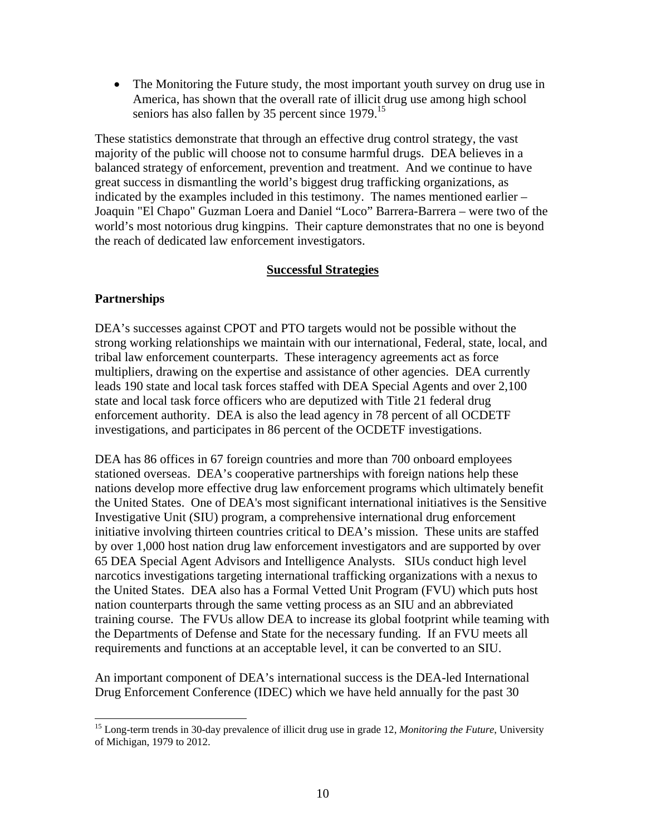• The Monitoring the Future study, the most important youth survey on drug use in America, has shown that the overall rate of illicit drug use among high school seniors has also fallen by 35 percent since 1979.<sup>15</sup>

These statistics demonstrate that through an effective drug control strategy, the vast majority of the public will choose not to consume harmful drugs. DEA believes in a balanced strategy of enforcement, prevention and treatment. And we continue to have great success in dismantling the world's biggest drug trafficking organizations, as indicated by the examples included in this testimony. The names mentioned earlier – Joaquin "El Chapo" Guzman Loera and Daniel "Loco" Barrera-Barrera – were two of the world's most notorious drug kingpins. Their capture demonstrates that no one is beyond the reach of dedicated law enforcement investigators.

#### **Successful Strategies**

#### **Partnerships**

DEA's successes against CPOT and PTO targets would not be possible without the strong working relationships we maintain with our international, Federal, state, local, and tribal law enforcement counterparts. These interagency agreements act as force multipliers, drawing on the expertise and assistance of other agencies. DEA currently leads 190 state and local task forces staffed with DEA Special Agents and over 2,100 state and local task force officers who are deputized with Title 21 federal drug enforcement authority. DEA is also the lead agency in 78 percent of all OCDETF investigations, and participates in 86 percent of the OCDETF investigations.

DEA has 86 offices in 67 foreign countries and more than 700 onboard employees stationed overseas. DEA's cooperative partnerships with foreign nations help these nations develop more effective drug law enforcement programs which ultimately benefit the United States. One of DEA's most significant international initiatives is the Sensitive Investigative Unit (SIU) program, a comprehensive international drug enforcement initiative involving thirteen countries critical to DEA's mission. These units are staffed by over 1,000 host nation drug law enforcement investigators and are supported by over 65 DEA Special Agent Advisors and Intelligence Analysts. SIUs conduct high level narcotics investigations targeting international trafficking organizations with a nexus to the United States. DEA also has a Formal Vetted Unit Program (FVU) which puts host nation counterparts through the same vetting process as an SIU and an abbreviated training course. The FVUs allow DEA to increase its global footprint while teaming with the Departments of Defense and State for the necessary funding. If an FVU meets all requirements and functions at an acceptable level, it can be converted to an SIU.

An important component of DEA's international success is the DEA-led International Drug Enforcement Conference (IDEC) which we have held annually for the past 30

 $\overline{a}$ <sup>15</sup> Long-term trends in 30-day prevalence of illicit drug use in grade 12, *Monitoring the Future*, University of Michigan, 1979 to 2012.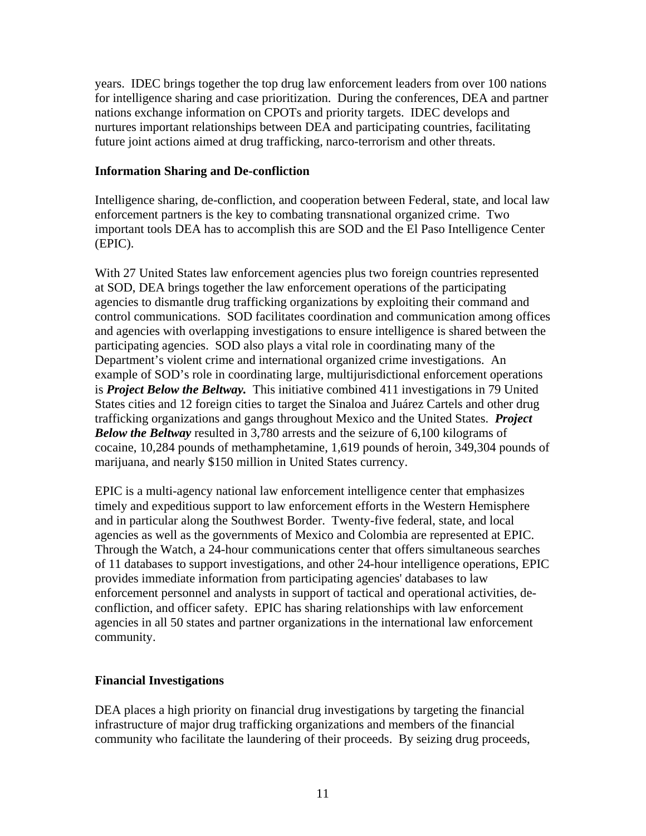years. IDEC brings together the top drug law enforcement leaders from over 100 nations for intelligence sharing and case prioritization. During the conferences, DEA and partner nations exchange information on CPOTs and priority targets. IDEC develops and nurtures important relationships between DEA and participating countries, facilitating future joint actions aimed at drug trafficking, narco-terrorism and other threats.

#### **Information Sharing and De-confliction**

Intelligence sharing, de-confliction, and cooperation between Federal, state, and local law enforcement partners is the key to combating transnational organized crime. Two important tools DEA has to accomplish this are SOD and the El Paso Intelligence Center (EPIC).

With 27 United States law enforcement agencies plus two foreign countries represented at SOD, DEA brings together the law enforcement operations of the participating agencies to dismantle drug trafficking organizations by exploiting their command and control communications. SOD facilitates coordination and communication among offices and agencies with overlapping investigations to ensure intelligence is shared between the participating agencies. SOD also plays a vital role in coordinating many of the Department's violent crime and international organized crime investigations. An example of SOD's role in coordinating large, multijurisdictional enforcement operations is *Project Below the Beltway.* This initiative combined 411 investigations in 79 United States cities and 12 foreign cities to target the Sinaloa and Juárez Cartels and other drug trafficking organizations and gangs throughout Mexico and the United States. *Project Below the Beltway* resulted in 3,780 arrests and the seizure of 6,100 kilograms of cocaine, 10,284 pounds of methamphetamine, 1,619 pounds of heroin, 349,304 pounds of marijuana, and nearly \$150 million in United States currency.

EPIC is a multi-agency national law enforcement intelligence center that emphasizes timely and expeditious support to law enforcement efforts in the Western Hemisphere and in particular along the Southwest Border. Twenty-five federal, state, and local agencies as well as the governments of Mexico and Colombia are represented at EPIC. Through the Watch, a 24-hour communications center that offers simultaneous searches of 11 databases to support investigations, and other 24-hour intelligence operations, EPIC provides immediate information from participating agencies' databases to law enforcement personnel and analysts in support of tactical and operational activities, deconfliction, and officer safety. EPIC has sharing relationships with law enforcement agencies in all 50 states and partner organizations in the international law enforcement community.

#### **Financial Investigations**

DEA places a high priority on financial drug investigations by targeting the financial infrastructure of major drug trafficking organizations and members of the financial community who facilitate the laundering of their proceeds. By seizing drug proceeds,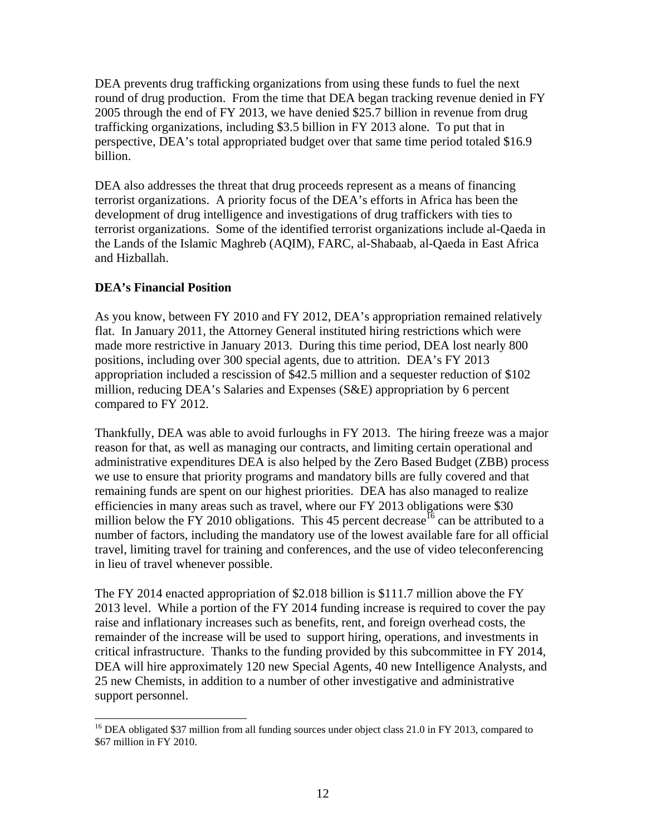DEA prevents drug trafficking organizations from using these funds to fuel the next round of drug production. From the time that DEA began tracking revenue denied in FY 2005 through the end of FY 2013, we have denied \$25.7 billion in revenue from drug trafficking organizations, including \$3.5 billion in FY 2013 alone. To put that in perspective, DEA's total appropriated budget over that same time period totaled \$16.9 billion.

DEA also addresses the threat that drug proceeds represent as a means of financing terrorist organizations. A priority focus of the DEA's efforts in Africa has been the development of drug intelligence and investigations of drug traffickers with ties to terrorist organizations. Some of the identified terrorist organizations include al-Qaeda in the Lands of the Islamic Maghreb (AQIM), FARC, al-Shabaab, al-Qaeda in East Africa and Hizballah.

#### **DEA's Financial Position**

 $\overline{a}$ 

As you know, between FY 2010 and FY 2012, DEA's appropriation remained relatively flat. In January 2011, the Attorney General instituted hiring restrictions which were made more restrictive in January 2013. During this time period, DEA lost nearly 800 positions, including over 300 special agents, due to attrition. DEA's FY 2013 appropriation included a rescission of \$42.5 million and a sequester reduction of \$102 million, reducing DEA's Salaries and Expenses (S&E) appropriation by 6 percent compared to FY 2012.

Thankfully, DEA was able to avoid furloughs in FY 2013. The hiring freeze was a major reason for that, as well as managing our contracts, and limiting certain operational and administrative expenditures DEA is also helped by the Zero Based Budget (ZBB) process we use to ensure that priority programs and mandatory bills are fully covered and that remaining funds are spent on our highest priorities. DEA has also managed to realize efficiencies in many areas such as travel, where our FY 2013 obligations were \$30 million below the FY 2010 obligations. This 45 percent decrease  $\frac{16}{6}$  can be attributed to a number of factors, including the mandatory use of the lowest available fare for all official travel, limiting travel for training and conferences, and the use of video teleconferencing in lieu of travel whenever possible.

The FY 2014 enacted appropriation of \$2.018 billion is \$111.7 million above the FY 2013 level. While a portion of the FY 2014 funding increase is required to cover the pay raise and inflationary increases such as benefits, rent, and foreign overhead costs, the remainder of the increase will be used to support hiring, operations, and investments in critical infrastructure. Thanks to the funding provided by this subcommittee in FY 2014, DEA will hire approximately 120 new Special Agents, 40 new Intelligence Analysts, and 25 new Chemists, in addition to a number of other investigative and administrative support personnel.

<sup>&</sup>lt;sup>16</sup> DEA obligated \$37 million from all funding sources under object class 21.0 in FY 2013, compared to \$67 million in FY 2010.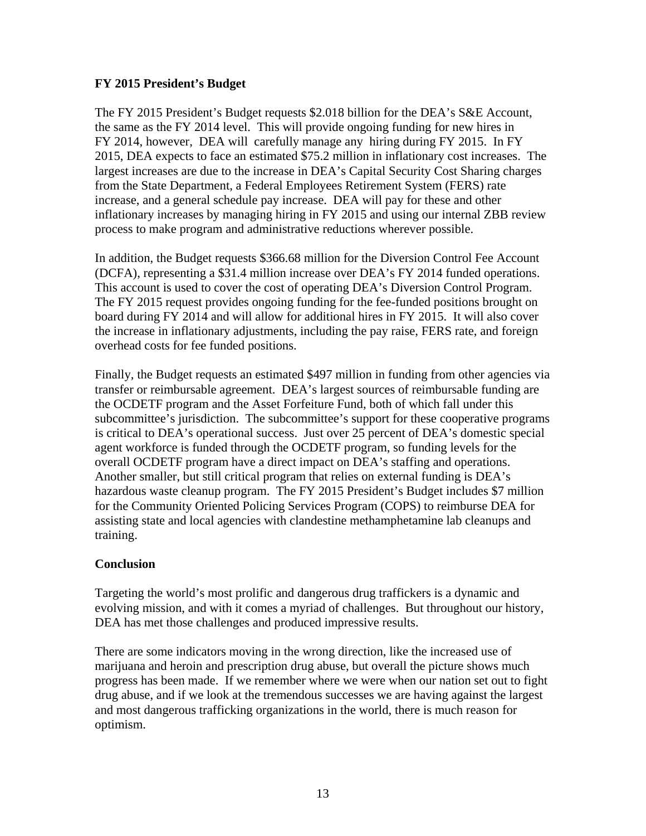#### **FY 2015 President's Budget**

The FY 2015 President's Budget requests \$2.018 billion for the DEA's S&E Account, the same as the FY 2014 level. This will provide ongoing funding for new hires in FY 2014, however, DEA will carefully manage any hiring during FY 2015. In FY 2015, DEA expects to face an estimated \$75.2 million in inflationary cost increases. The largest increases are due to the increase in DEA's Capital Security Cost Sharing charges from the State Department, a Federal Employees Retirement System (FERS) rate increase, and a general schedule pay increase. DEA will pay for these and other inflationary increases by managing hiring in FY 2015 and using our internal ZBB review process to make program and administrative reductions wherever possible.

In addition, the Budget requests \$366.68 million for the Diversion Control Fee Account (DCFA), representing a \$31.4 million increase over DEA's FY 2014 funded operations. This account is used to cover the cost of operating DEA's Diversion Control Program. The FY 2015 request provides ongoing funding for the fee-funded positions brought on board during FY 2014 and will allow for additional hires in FY 2015. It will also cover the increase in inflationary adjustments, including the pay raise, FERS rate, and foreign overhead costs for fee funded positions.

Finally, the Budget requests an estimated \$497 million in funding from other agencies via transfer or reimbursable agreement. DEA's largest sources of reimbursable funding are the OCDETF program and the Asset Forfeiture Fund, both of which fall under this subcommittee's jurisdiction. The subcommittee's support for these cooperative programs is critical to DEA's operational success. Just over 25 percent of DEA's domestic special agent workforce is funded through the OCDETF program, so funding levels for the overall OCDETF program have a direct impact on DEA's staffing and operations. Another smaller, but still critical program that relies on external funding is DEA's hazardous waste cleanup program. The FY 2015 President's Budget includes \$7 million for the Community Oriented Policing Services Program (COPS) to reimburse DEA for assisting state and local agencies with clandestine methamphetamine lab cleanups and training.

#### **Conclusion**

Targeting the world's most prolific and dangerous drug traffickers is a dynamic and evolving mission, and with it comes a myriad of challenges. But throughout our history, DEA has met those challenges and produced impressive results.

There are some indicators moving in the wrong direction, like the increased use of marijuana and heroin and prescription drug abuse, but overall the picture shows much progress has been made. If we remember where we were when our nation set out to fight drug abuse, and if we look at the tremendous successes we are having against the largest and most dangerous trafficking organizations in the world, there is much reason for optimism.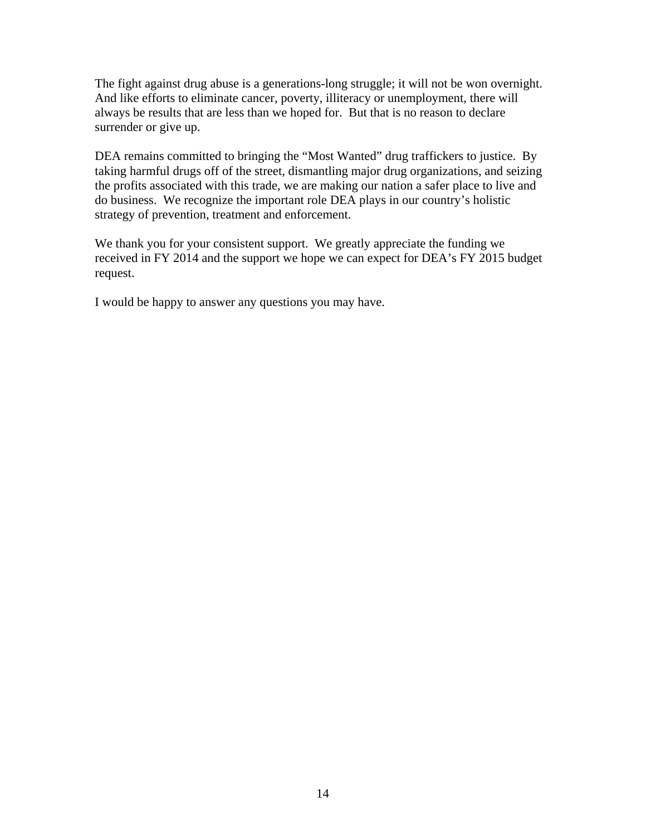The fight against drug abuse is a generations-long struggle; it will not be won overnight. And like efforts to eliminate cancer, poverty, illiteracy or unemployment, there will always be results that are less than we hoped for. But that is no reason to declare surrender or give up.

DEA remains committed to bringing the "Most Wanted" drug traffickers to justice. By taking harmful drugs off of the street, dismantling major drug organizations, and seizing the profits associated with this trade, we are making our nation a safer place to live and do business. We recognize the important role DEA plays in our country's holistic strategy of prevention, treatment and enforcement.

We thank you for your consistent support. We greatly appreciate the funding we received in FY 2014 and the support we hope we can expect for DEA's FY 2015 budget request.

I would be happy to answer any questions you may have.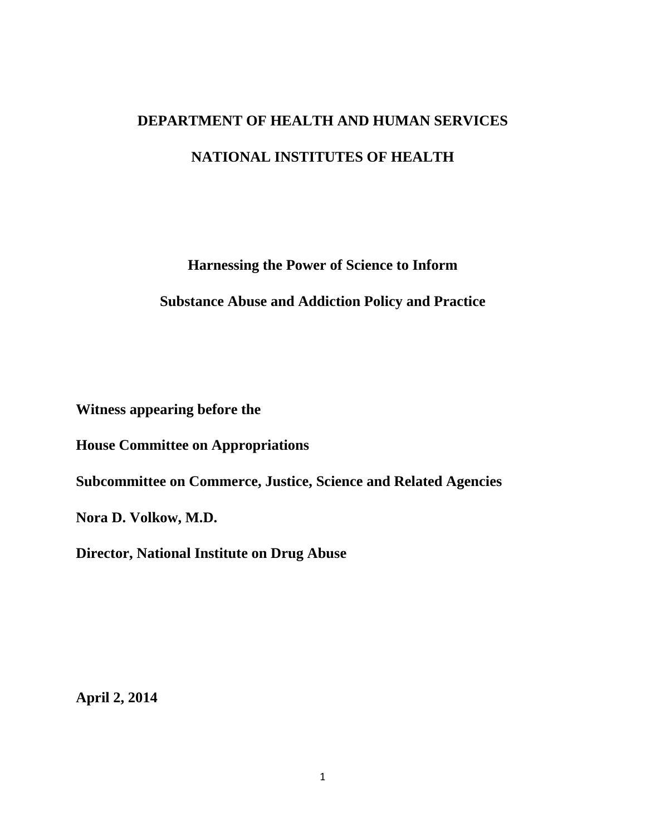## <span id="page-17-0"></span>**DEPARTMENT OF HEALTH AND HUMAN SERVICES NATIONAL INSTITUTES OF HEALTH**

**Harnessing the Power of Science to Inform** 

#### **Substance Abuse and Addiction Policy and Practice**

**Witness appearing before the** 

**House Committee on Appropriations** 

**Subcommittee on Commerce, Justice, Science and Related Agencies** 

**Nora D. Volkow, M.D.** 

**Director, National Institute on Drug Abuse** 

**April 2, 2014**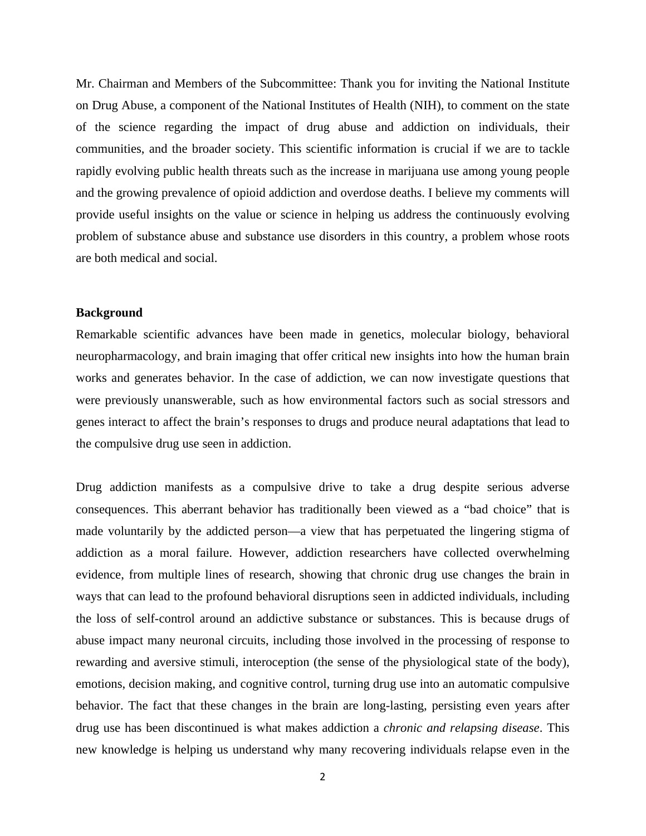Mr. Chairman and Members of the Subcommittee: Thank you for inviting the National Institute on Drug Abuse, a component of the National Institutes of Health (NIH), to comment on the state of the science regarding the impact of drug abuse and addiction on individuals, their communities, and the broader society. This scientific information is crucial if we are to tackle rapidly evolving public health threats such as the increase in marijuana use among young people and the growing prevalence of opioid addiction and overdose deaths. I believe my comments will provide useful insights on the value or science in helping us address the continuously evolving problem of substance abuse and substance use disorders in this country, a problem whose roots are both medical and social.

#### **Background**

Remarkable scientific advances have been made in genetics, molecular biology, behavioral neuropharmacology, and brain imaging that offer critical new insights into how the human brain works and generates behavior. In the case of addiction, we can now investigate questions that were previously unanswerable, such as how environmental factors such as social stressors and genes interact to affect the brain's responses to drugs and produce neural adaptations that lead to the compulsive drug use seen in addiction.

Drug addiction manifests as a compulsive drive to take a drug despite serious adverse consequences. This aberrant behavior has traditionally been viewed as a "bad choice" that is made voluntarily by the addicted person—a view that has perpetuated the lingering stigma of addiction as a moral failure. However, addiction researchers have collected overwhelming evidence, from multiple lines of research, showing that chronic drug use changes the brain in ways that can lead to the profound behavioral disruptions seen in addicted individuals, including the loss of self-control around an addictive substance or substances. This is because drugs of abuse impact many neuronal circuits, including those involved in the processing of response to rewarding and aversive stimuli, interoception (the sense of the physiological state of the body), emotions, decision making, and cognitive control, turning drug use into an automatic compulsive behavior. The fact that these changes in the brain are long-lasting, persisting even years after drug use has been discontinued is what makes addiction a *chronic and relapsing disease*. This new knowledge is helping us understand why many recovering individuals relapse even in the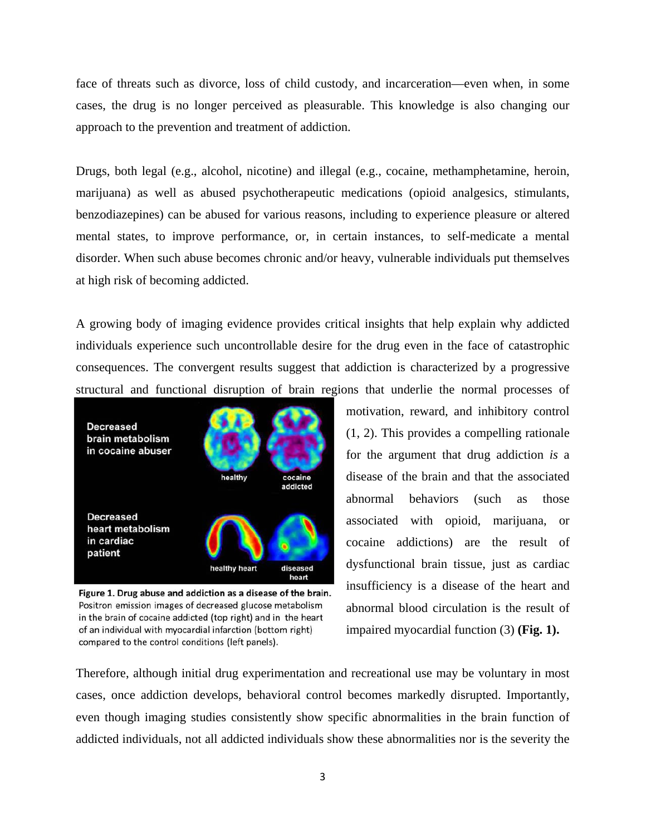face of threats such as divorce, loss of child custody, and incarceration—even when, in some cases, the drug is no longer perceived as pleasurable. This knowledge is also changing our approach to the prevention and treatment of addiction.

Drugs, both legal (e.g., alcohol, nicotine) and illegal (e.g., cocaine, methamphetamine, heroin, marijuana) as well as abused psychotherapeutic medications (opioid analgesics, stimulants, benzodiazepines) can be abused for various reasons, including to experience pleasure or altered mental states, to improve performance, or, in certain instances, to self-medicate a mental disorder. When such abuse becomes chronic and/or heavy, vulnerable individuals put themselves at high risk of becoming addicted.

A growing body of imaging evidence provides critical insights that help explain why addicted individuals experience such uncontrollable desire for the drug even in the face of catastrophic consequences. The convergent results suggest that addiction is characterized by a progressive structural and functional disruption of brain regions that underlie the normal processes of



Figure 1. Drug abuse and addiction as a disease of the brain. Positron emission images of decreased glucose metabolism in the brain of cocaine addicted (top right) and in the heart of an individual with myocardial infarction (bottom right) compared to the control conditions (left panels).

motivation, reward, and inhibitory control (1, 2). This provides a compelling rationale for the argument that drug addiction *is* a disease of the brain and that the associated abnormal behaviors (such as those associated with opioid, marijuana, or cocaine addictions) are the result of dysfunctional brain tissue, just as cardiac insufficiency is a disease of the heart and abnormal blood circulation is the result of impaired myocardial function (3) **(Fig. 1).**

Therefore, although initial drug experimentation and recreational use may be voluntary in most cases, once addiction develops, behavioral control becomes markedly disrupted. Importantly, even though imaging studies consistently show specific abnormalities in the brain function of addicted individuals, not all addicted individuals show these abnormalities nor is the severity the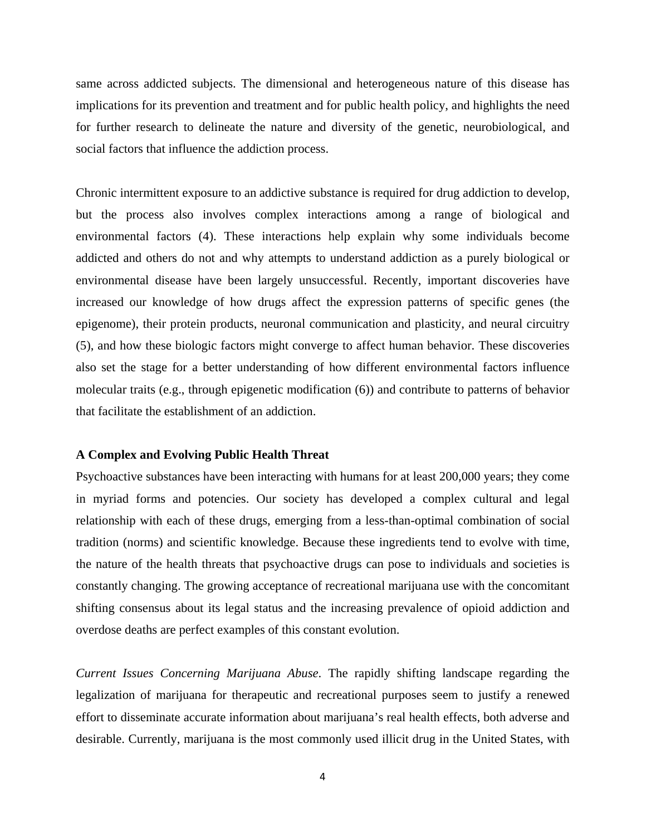same across addicted subjects. The dimensional and heterogeneous nature of this disease has implications for its prevention and treatment and for public health policy, and highlights the need for further research to delineate the nature and diversity of the genetic, neurobiological, and social factors that influence the addiction process.

Chronic intermittent exposure to an addictive substance is required for drug addiction to develop, but the process also involves complex interactions among a range of biological and environmental factors (4). These interactions help explain why some individuals become addicted and others do not and why attempts to understand addiction as a purely biological or environmental disease have been largely unsuccessful. Recently, important discoveries have increased our knowledge of how drugs affect the expression patterns of specific genes (the epigenome), their protein products, neuronal communication and plasticity, and neural circuitry (5), and how these biologic factors might converge to affect human behavior. These discoveries also set the stage for a better understanding of how different environmental factors influence molecular traits (e.g., through epigenetic modification (6)) and contribute to patterns of behavior that facilitate the establishment of an addiction.

#### **A Complex and Evolving Public Health Threat**

Psychoactive substances have been interacting with humans for at least 200,000 years; they come in myriad forms and potencies. Our society has developed a complex cultural and legal relationship with each of these drugs, emerging from a less-than-optimal combination of social tradition (norms) and scientific knowledge. Because these ingredients tend to evolve with time, the nature of the health threats that psychoactive drugs can pose to individuals and societies is constantly changing. The growing acceptance of recreational marijuana use with the concomitant shifting consensus about its legal status and the increasing prevalence of opioid addiction and overdose deaths are perfect examples of this constant evolution.

*Current Issues Concerning Marijuana Abuse*. The rapidly shifting landscape regarding the legalization of marijuana for therapeutic and recreational purposes seem to justify a renewed effort to disseminate accurate information about marijuana's real health effects, both adverse and desirable. Currently, marijuana is the most commonly used illicit drug in the United States, with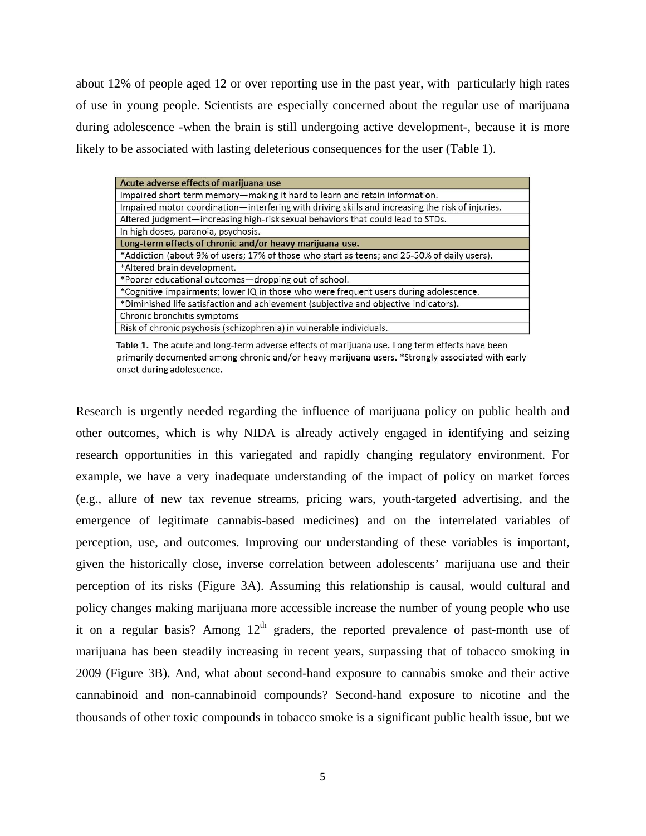about 12% of people aged 12 or over reporting use in the past year, with particularly high rates of use in young people. Scientists are especially concerned about the regular use of marijuana during adolescence -when the brain is still undergoing active development-, because it is more likely to be associated with lasting deleterious consequences for the user (Table 1).

| Acute adverse effects of marijuana use                                                           |
|--------------------------------------------------------------------------------------------------|
| Impaired short-term memory-making it hard to learn and retain information.                       |
| Impaired motor coordination—interfering with driving skills and increasing the risk of injuries. |
| Altered judgment—increasing high-risk sexual behaviors that could lead to STDs.                  |
| In high doses, paranoia, psychosis.                                                              |
| Long-term effects of chronic and/or heavy marijuana use.                                         |
| *Addiction (about 9% of users; 17% of those who start as teens; and 25-50% of daily users).      |
| *Altered brain development.                                                                      |
| *Poorer educational outcomes-dropping out of school.                                             |
| *Cognitive impairments; lower IQ in those who were frequent users during adolescence.            |
| *Diminished life satisfaction and achievement (subjective and objective indicators).             |
| Chronic bronchitis symptoms                                                                      |
| Risk of chronic psychosis (schizophrenia) in vulnerable individuals.                             |

Table 1. The acute and long-term adverse effects of marijuana use. Long term effects have been primarily documented among chronic and/or heavy marijuana users. \*Strongly associated with early onset during adolescence.

Research is urgently needed regarding the influence of marijuana policy on public health and other outcomes, which is why NIDA is already actively engaged in identifying and seizing research opportunities in this variegated and rapidly changing regulatory environment. For example, we have a very inadequate understanding of the impact of policy on market forces (e.g., allure of new tax revenue streams, pricing wars, youth-targeted advertising, and the emergence of legitimate cannabis-based medicines) and on the interrelated variables of perception, use, and outcomes. Improving our understanding of these variables is important, given the historically close, inverse correlation between adolescents' marijuana use and their perception of its risks (Figure 3A). Assuming this relationship is causal, would cultural and policy changes making marijuana more accessible increase the number of young people who use it on a regular basis? Among  $12<sup>th</sup>$  graders, the reported prevalence of past-month use of marijuana has been steadily increasing in recent years, surpassing that of tobacco smoking in 2009 (Figure 3B). And, what about second-hand exposure to cannabis smoke and their active cannabinoid and non-cannabinoid compounds? Second-hand exposure to nicotine and the thousands of other toxic compounds in tobacco smoke is a significant public health issue, but we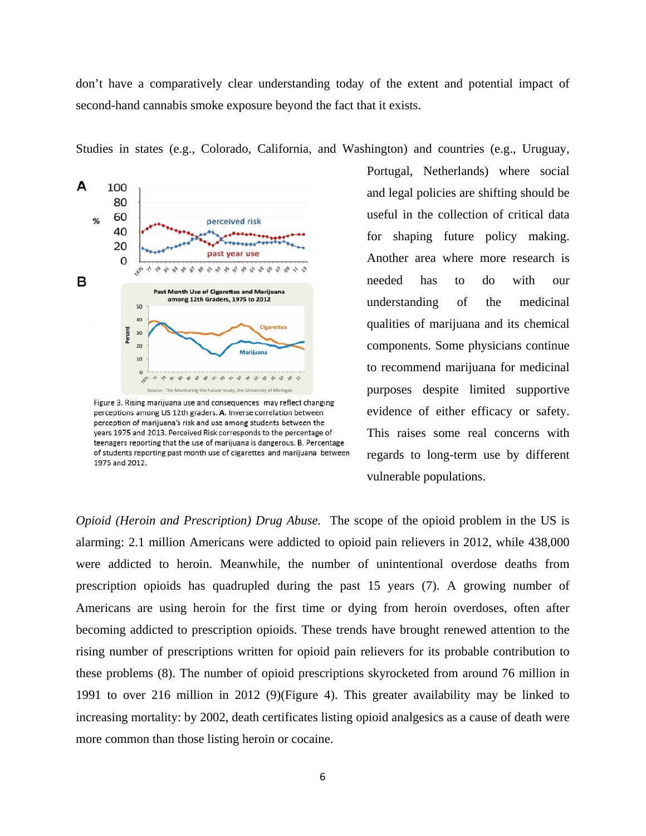don't have a comparatively clear understanding today of the extent and potential impact of second-hand cannabis smoke exposure beyond the fact that it exists.

Studies in states (e.g., Colorado, California, and Washington) and countries (e.g., Uruguay,



Figure 3. Rising marijuana use and consequences may reflect changing perceptions among US 12th graders. A. Inverse correlation between perception of marijuana's risk and use among students between the years 1975 and 2013. Perceived Risk corresponds to the percentage of teenagers reporting that the use of marijuana is dangerous. B. Percentage of students reporting past month use of cigarettes and marijuana between 1975 and 2012.

Portugal, Netherlands) where social and legal policies are shifting should be useful in the collection of critical data for shaping future policy making. Another area where more research is needed has to do with our understanding of the medicinal qualities of marijuana and its chemical components. Some physicians continue to recommend marijuana for medicinal purposes despite limited supportive evidence of either efficacy or safety. This raises some real concerns with regards to long-term use by different vulnerable populations.

*Opioid (Heroin and Prescription) Drug Abuse.* The scope of the opioid problem in the US is alarming: 2.1 million Americans were addicted to opioid pain relievers in 2012, while 438,000 were addicted to heroin. Meanwhile, the number of unintentional overdose deaths from prescription opioids has quadrupled during the past 15 years (7). A growing number of Americans are using heroin for the first time or dying from heroin overdoses, often after becoming addicted to prescription opioids. These trends have brought renewed attention to the rising number of prescriptions written for opioid pain relievers for its probable contribution to these problems (8). The number of opioid prescriptions skyrocketed from around 76 million in 1991 to over 216 million in 2012 (9)(Figure 4). This greater availability may be linked to increasing mortality: by 2002, death certificates listing opioid analgesics as a cause of death were more common than those listing heroin or cocaine.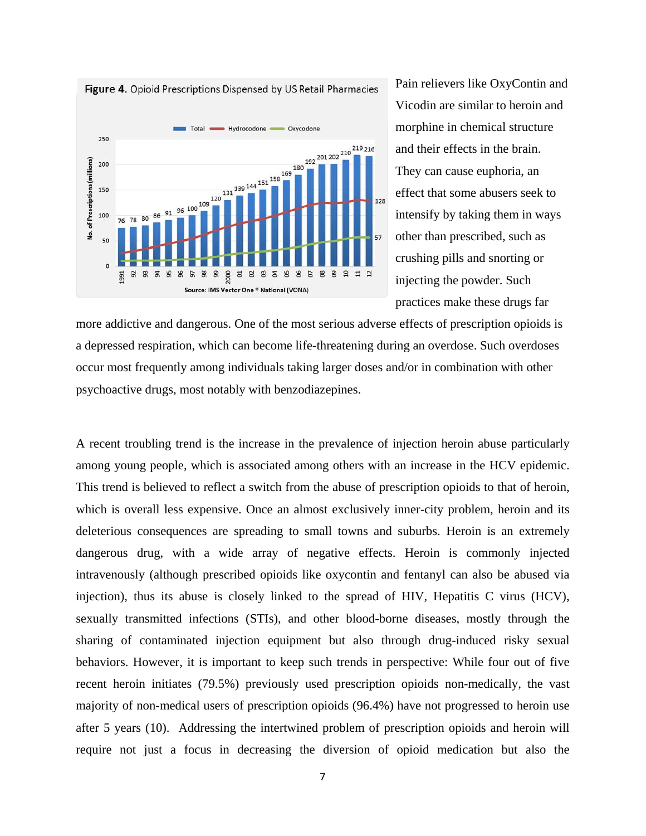



Pain relievers like OxyContin and Vicodin are similar to heroin and morphine in chemical structure and their effects in the brain. They can cause euphoria, an effect that some abusers seek to intensify by taking them in ways other than prescribed, such as crushing pills and snorting or injecting the powder. Such practices make these drugs far

more addictive and dangerous. One of the most serious adverse effects of prescription opioids is a depressed respiration, which can become life-threatening during an overdose. Such overdoses occur most frequently among individuals taking larger doses and/or in combination with other psychoactive drugs, most notably with benzodiazepines.

A recent troubling trend is the increase in the prevalence of injection heroin abuse particularly among young people, which is associated among others with an increase in the HCV epidemic. This trend is believed to reflect a switch from the abuse of prescription opioids to that of heroin, which is overall less expensive. Once an almost exclusively inner-city problem, heroin and its deleterious consequences are spreading to small towns and suburbs. Heroin is an extremely dangerous drug, with a wide array of negative effects. Heroin is commonly injected intravenously (although prescribed opioids like oxycontin and fentanyl can also be abused via injection), thus its abuse is closely linked to the spread of HIV, Hepatitis C virus (HCV), sexually transmitted infections (STIs), and other blood-borne diseases, mostly through the sharing of contaminated injection equipment but also through drug-induced risky sexual behaviors. However, it is important to keep such trends in perspective: While four out of five recent heroin initiates (79.5%) previously used prescription opioids non-medically, the vast majority of non-medical users of prescription opioids (96.4%) have not progressed to heroin use after 5 years (10). Addressing the intertwined problem of prescription opioids and heroin will require not just a focus in decreasing the diversion of opioid medication but also the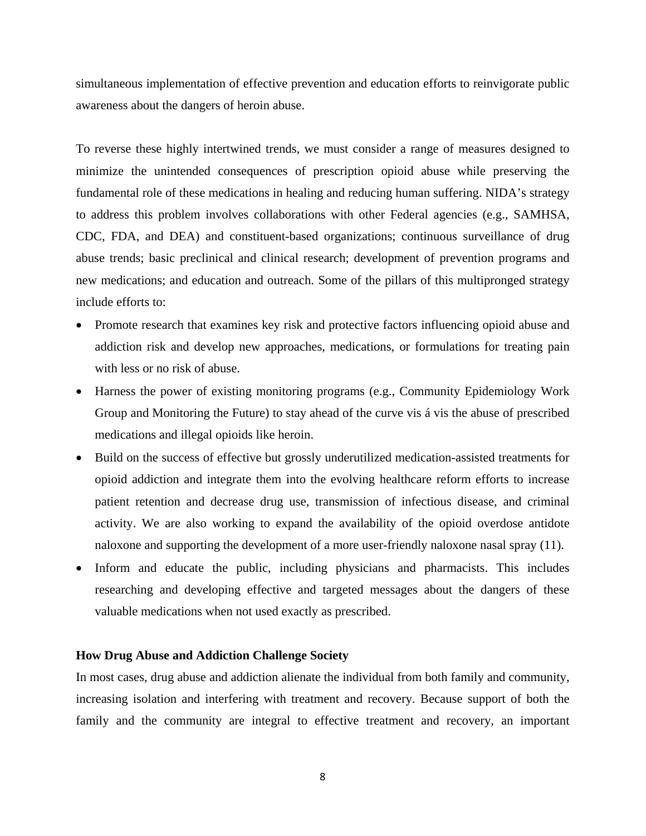simultaneous implementation of effective prevention and education efforts to reinvigorate public awareness about the dangers of heroin abuse.

To reverse these highly intertwined trends, we must consider a range of measures designed to minimize the unintended consequences of prescription opioid abuse while preserving the fundamental role of these medications in healing and reducing human suffering. NIDA's strategy to address this problem involves collaborations with other Federal agencies (e.g., SAMHSA, CDC, FDA, and DEA) and constituent-based organizations; continuous surveillance of drug abuse trends; basic preclinical and clinical research; development of prevention programs and new medications; and education and outreach. Some of the pillars of this multipronged strategy include efforts to:

- Promote research that examines key risk and protective factors influencing opioid abuse and addiction risk and develop new approaches, medications, or formulations for treating pain with less or no risk of abuse.
- Harness the power of existing monitoring programs (e.g., Community Epidemiology Work Group and Monitoring the Future) to stay ahead of the curve vis á vis the abuse of prescribed medications and illegal opioids like heroin.
- Build on the success of effective but grossly underutilized medication-assisted treatments for opioid addiction and integrate them into the evolving healthcare reform efforts to increase patient retention and decrease drug use, transmission of infectious disease, and criminal activity. We are also working to expand the availability of the opioid overdose antidote naloxone and supporting the development of a more user-friendly naloxone nasal spray (11).
- Inform and educate the public, including physicians and pharmacists. This includes researching and developing effective and targeted messages about the dangers of these valuable medications when not used exactly as prescribed.

#### **How Drug Abuse and Addiction Challenge Society**

In most cases, drug abuse and addiction alienate the individual from both family and community, increasing isolation and interfering with treatment and recovery. Because support of both the family and the community are integral to effective treatment and recovery, an important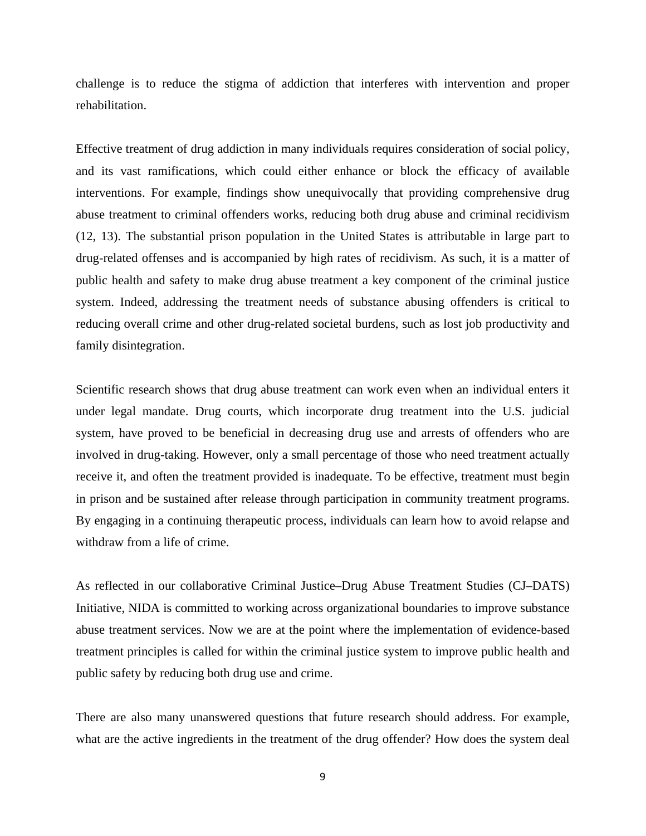challenge is to reduce the stigma of addiction that interferes with intervention and proper rehabilitation.

Effective treatment of drug addiction in many individuals requires consideration of social policy, and its vast ramifications, which could either enhance or block the efficacy of available interventions. For example, findings show unequivocally that providing comprehensive drug abuse treatment to criminal offenders works, reducing both drug abuse and criminal recidivism (12, 13). The substantial prison population in the United States is attributable in large part to drug-related offenses and is accompanied by high rates of recidivism. As such, it is a matter of public health and safety to make drug abuse treatment a key component of the criminal justice system. Indeed, addressing the treatment needs of substance abusing offenders is critical to reducing overall crime and other drug-related societal burdens, such as lost job productivity and family disintegration.

Scientific research shows that drug abuse treatment can work even when an individual enters it under legal mandate. Drug courts, which incorporate drug treatment into the U.S. judicial system, have proved to be beneficial in decreasing drug use and arrests of offenders who are involved in drug-taking. However, only a small percentage of those who need treatment actually receive it, and often the treatment provided is inadequate. To be effective, treatment must begin in prison and be sustained after release through participation in community treatment programs. By engaging in a continuing therapeutic process, individuals can learn how to avoid relapse and withdraw from a life of crime.

As reflected in our collaborative Criminal Justice–Drug Abuse Treatment Studies (CJ–DATS) Initiative, NIDA is committed to working across organizational boundaries to improve substance abuse treatment services. Now we are at the point where the implementation of evidence-based treatment principles is called for within the criminal justice system to improve public health and public safety by reducing both drug use and crime.

There are also many unanswered questions that future research should address. For example, what are the active ingredients in the treatment of the drug offender? How does the system deal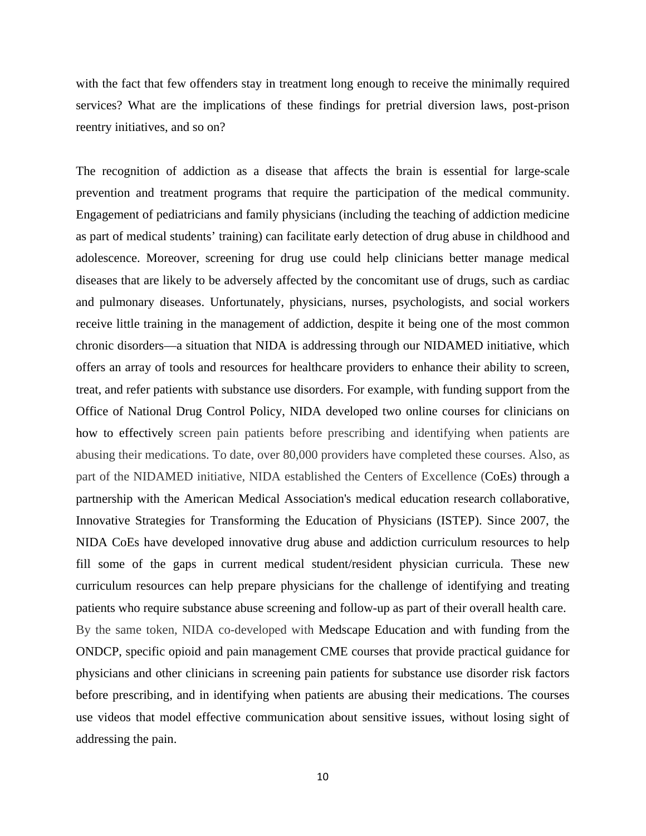with the fact that few offenders stay in treatment long enough to receive the minimally required services? What are the implications of these findings for pretrial diversion laws, post-prison reentry initiatives, and so on?

The recognition of addiction as a disease that affects the brain is essential for large-scale prevention and treatment programs that require the participation of the medical community. Engagement of pediatricians and family physicians (including the teaching of addiction medicine as part of medical students' training) can facilitate early detection of drug abuse in childhood and adolescence. Moreover, screening for drug use could help clinicians better manage medical diseases that are likely to be adversely affected by the concomitant use of drugs, such as cardiac and pulmonary diseases. Unfortunately, physicians, nurses, psychologists, and social workers receive little training in the management of addiction, despite it being one of the most common chronic disorders—a situation that NIDA is addressing through our NIDAMED initiative, which offers an array of tools and resources for healthcare providers to enhance their ability to screen, treat, and refer patients with substance use disorders. For example, with funding support from the Office of National Drug Control Policy, NIDA developed two online courses for clinicians on how to effectively screen pain patients before prescribing and identifying when patients are abusing their medications. To date, over 80,000 providers have completed these courses. Also, as part of the NIDAMED initiative, NIDA established the Centers of Excellence (CoEs) through a partnership with the American Medical Association's medical education research collaborative, Innovative Strategies for Transforming the Education of Physicians (ISTEP). Since 2007, the NIDA CoEs have developed innovative drug abuse and addiction curriculum resources to help fill some of the gaps in current medical student/resident physician curricula. These new curriculum resources can help prepare physicians for the challenge of identifying and treating patients who require substance abuse screening and follow-up as part of their overall health care. By the same token, NIDA co-developed with Medscape Education and with funding from the ONDCP, specific opioid and pain management CME courses that provide practical guidance for physicians and other clinicians in screening pain patients for substance use disorder risk factors before prescribing, and in identifying when patients are abusing their medications. The courses use videos that model effective communication about sensitive issues, without losing sight of addressing the pain.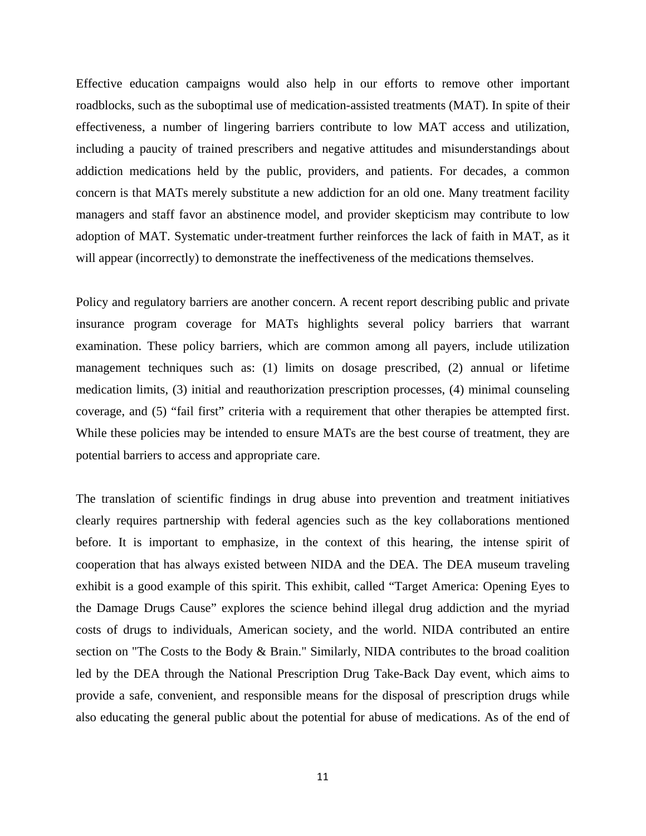Effective education campaigns would also help in our efforts to remove other important roadblocks, such as the suboptimal use of medication-assisted treatments (MAT). In spite of their effectiveness, a number of lingering barriers contribute to low MAT access and utilization, including a paucity of trained prescribers and negative attitudes and misunderstandings about addiction medications held by the public, providers, and patients. For decades, a common concern is that MATs merely substitute a new addiction for an old one. Many treatment facility managers and staff favor an abstinence model, and provider skepticism may contribute to low adoption of MAT. Systematic under-treatment further reinforces the lack of faith in MAT, as it will appear (incorrectly) to demonstrate the ineffectiveness of the medications themselves.

Policy and regulatory barriers are another concern. A recent report describing public and private insurance program coverage for MATs highlights several policy barriers that warrant examination. These policy barriers, which are common among all payers, include utilization management techniques such as: (1) limits on dosage prescribed, (2) annual or lifetime medication limits, (3) initial and reauthorization prescription processes, (4) minimal counseling coverage, and (5) "fail first" criteria with a requirement that other therapies be attempted first. While these policies may be intended to ensure MATs are the best course of treatment, they are potential barriers to access and appropriate care.

The translation of scientific findings in drug abuse into prevention and treatment initiatives clearly requires partnership with federal agencies such as the key collaborations mentioned before. It is important to emphasize, in the context of this hearing, the intense spirit of cooperation that has always existed between NIDA and the DEA. The DEA museum traveling exhibit is a good example of this spirit. This exhibit, called "Target America: Opening Eyes to the Damage Drugs Cause" explores the science behind illegal drug addiction and the myriad costs of drugs to individuals, American society, and the world. NIDA contributed an entire section on "The Costs to the Body & Brain." Similarly, NIDA contributes to the broad coalition led by the DEA through the National Prescription Drug Take-Back Day event, which aims to provide a safe, convenient, and responsible means for the disposal of prescription drugs while also educating the general public about the potential for abuse of medications. As of the end of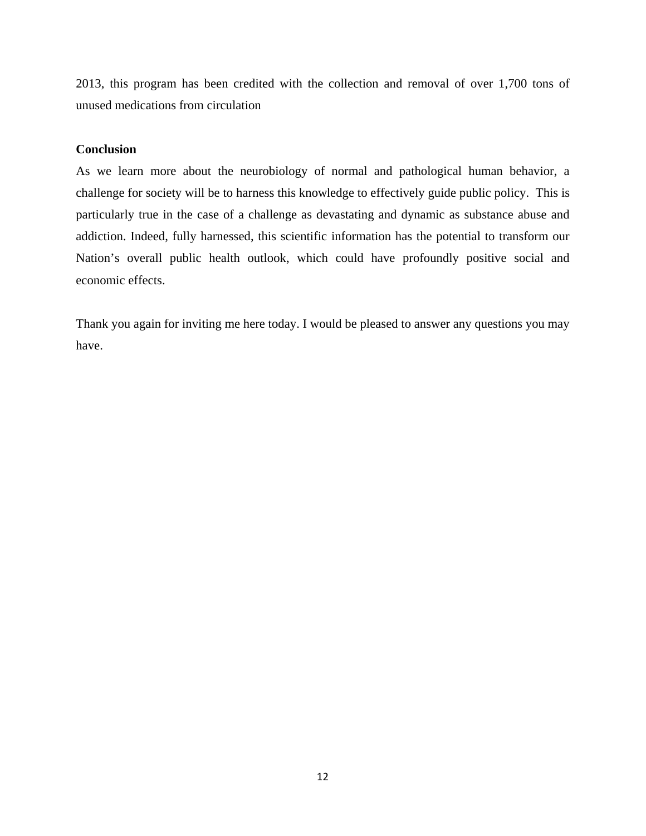2013, this program has been credited with the collection and removal of over 1,700 tons of unused medications from circulation

#### **Conclusion**

As we learn more about the neurobiology of normal and pathological human behavior, a challenge for society will be to harness this knowledge to effectively guide public policy. This is particularly true in the case of a challenge as devastating and dynamic as substance abuse and addiction. Indeed, fully harnessed, this scientific information has the potential to transform our Nation's overall public health outlook, which could have profoundly positive social and economic effects.

Thank you again for inviting me here today. I would be pleased to answer any questions you may have.